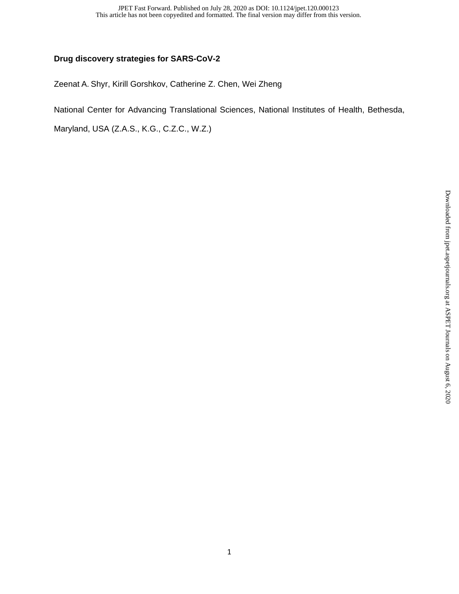## **Drug discovery strategies for SARS-CoV-2**

Zeenat A. Shyr, Kirill Gorshkov, Catherine Z. Chen, Wei Zheng

National Center for Advancing Translational Sciences, National Institutes of Health, Bethesda,

Maryland, USA (Z.A.S., K.G., C.Z.C., W.Z.)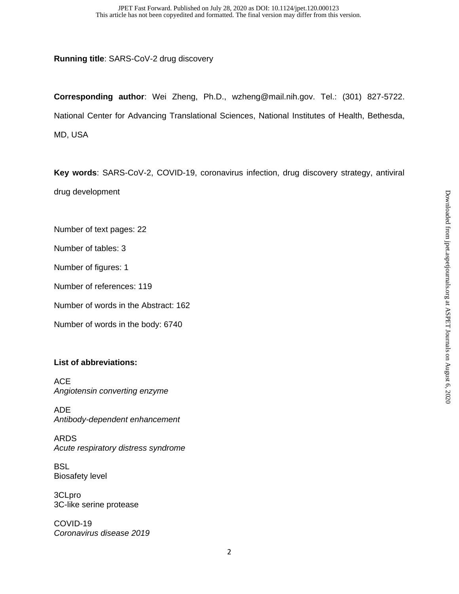**Running title**: SARS-CoV-2 drug discovery

**Corresponding author**: Wei Zheng, Ph.D., wzheng@mail.nih.gov. Tel.: (301) 827-5722. National Center for Advancing Translational Sciences, National Institutes of Health, Bethesda, MD, USA

**Key words**: SARS-CoV-2, COVID-19, coronavirus infection, drug discovery strategy, antiviral drug development

Number of text pages: 22

Number of tables: 3

Number of figures: 1

Number of references: 119

Number of words in the Abstract: 162

Number of words in the body: 6740

## **List of abbreviations:**

ACE *Angiotensin converting enzyme* 

ADE *Antibody-dependent enhancement* 

ARDS *Acute respiratory distress syndrome* 

**BSL** Biosafety level

3CLpro 3C-like serine protease

COVID-19 *Coronavirus disease 2019*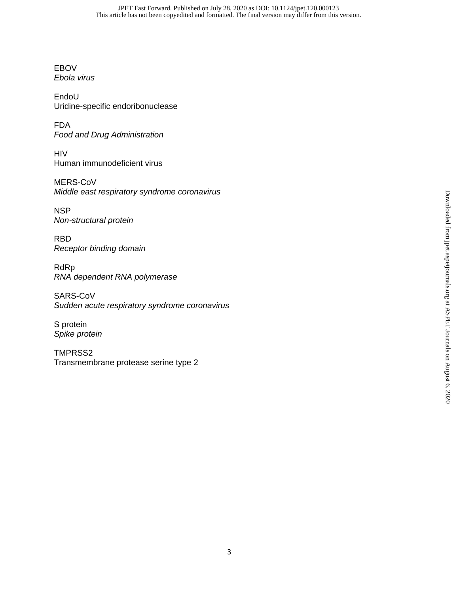EBOV *Ebola virus* 

EndoU Uridine-specific endoribonuclease

FDA *Food and Drug Administration*

HIV Human immunodeficient virus

MERS-CoV *Middle east respiratory syndrome coronavirus* 

**NSP** *Non-structural protein* 

RBD *Receptor binding domain* 

RdRp *RNA dependent RNA polymerase*

SARS-CoV *Sudden acute respiratory syndrome coronavirus* 

S protein *Spike protein*

TMPRSS2 Transmembrane protease serine type 2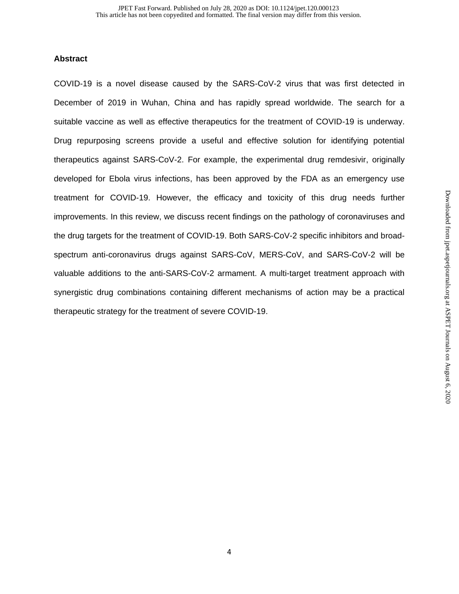## **Abstract**

COVID-19 is a novel disease caused by the SARS-CoV-2 virus that was first detected in December of 2019 in Wuhan, China and has rapidly spread worldwide. The search for a suitable vaccine as well as effective therapeutics for the treatment of COVID-19 is underway. Drug repurposing screens provide a useful and effective solution for identifying potential therapeutics against SARS-CoV-2. For example, the experimental drug remdesivir, originally developed for Ebola virus infections, has been approved by the FDA as an emergency use treatment for COVID-19. However, the efficacy and toxicity of this drug needs further improvements. In this review, we discuss recent findings on the pathology of coronaviruses and the drug targets for the treatment of COVID-19. Both SARS-CoV-2 specific inhibitors and broadspectrum anti-coronavirus drugs against SARS-CoV, MERS-CoV, and SARS-CoV-2 will be valuable additions to the anti-SARS-CoV-2 armament. A multi-target treatment approach with synergistic drug combinations containing different mechanisms of action may be a practical therapeutic strategy for the treatment of severe COVID-19.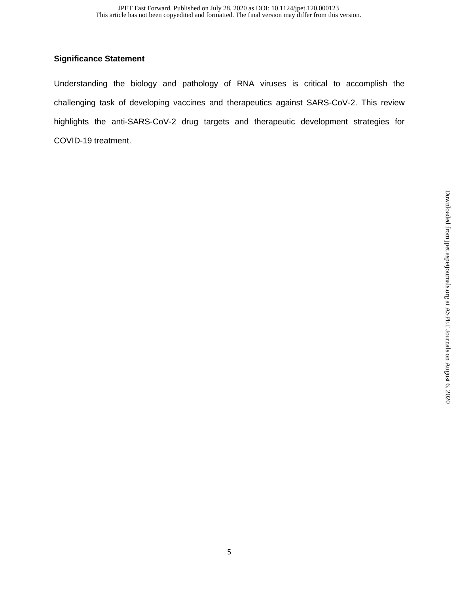## **Significance Statement**

Understanding the biology and pathology of RNA viruses is critical to accomplish the challenging task of developing vaccines and therapeutics against SARS-CoV-2. This review highlights the anti-SARS-CoV-2 drug targets and therapeutic development strategies for COVID-19 treatment.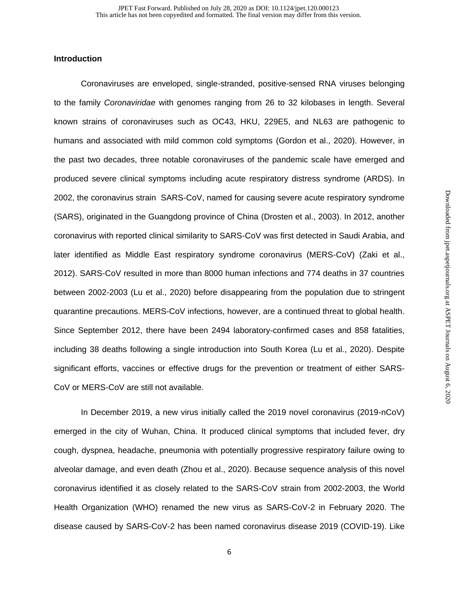## **Introduction**

Coronaviruses are enveloped, single-stranded, positive-sensed RNA viruses belonging to the family *Coronaviridae* with genomes ranging from 26 to 32 kilobases in length. Several known strains of coronaviruses such as OC43, HKU, 229E5, and NL63 are pathogenic to humans and associated with mild common cold symptoms (Gordon et al., 2020). However, in the past two decades, three notable coronaviruses of the pandemic scale have emerged and produced severe clinical symptoms including acute respiratory distress syndrome (ARDS). In 2002, the coronavirus strain SARS-CoV, named for causing severe acute respiratory syndrome (SARS), originated in the Guangdong province of China (Drosten et al., 2003). In 2012, another coronavirus with reported clinical similarity to SARS-CoV was first detected in Saudi Arabia, and later identified as Middle East respiratory syndrome coronavirus (MERS-CoV) (Zaki et al., 2012). SARS-CoV resulted in more than 8000 human infections and 774 deaths in 37 countries between 2002-2003 (Lu et al., 2020) before disappearing from the population due to stringent quarantine precautions. MERS-CoV infections, however, are a continued threat to global health. Since September 2012, there have been 2494 laboratory-confirmed cases and 858 fatalities, including 38 deaths following a single introduction into South Korea (Lu et al., 2020). Despite significant efforts, vaccines or effective drugs for the prevention or treatment of either SARS-CoV or MERS-CoV are still not available.

In December 2019, a new virus initially called the 2019 novel coronavirus (2019-nCoV) emerged in the city of Wuhan, China. It produced clinical symptoms that included fever, dry cough, dyspnea, headache, pneumonia with potentially progressive respiratory failure owing to alveolar damage, and even death (Zhou et al., 2020). Because sequence analysis of this novel coronavirus identified it as closely related to the SARS-CoV strain from 2002-2003, the World Health Organization (WHO) renamed the new virus as SARS-CoV-2 in February 2020. The disease caused by SARS-CoV-2 has been named coronavirus disease 2019 (COVID-19). Like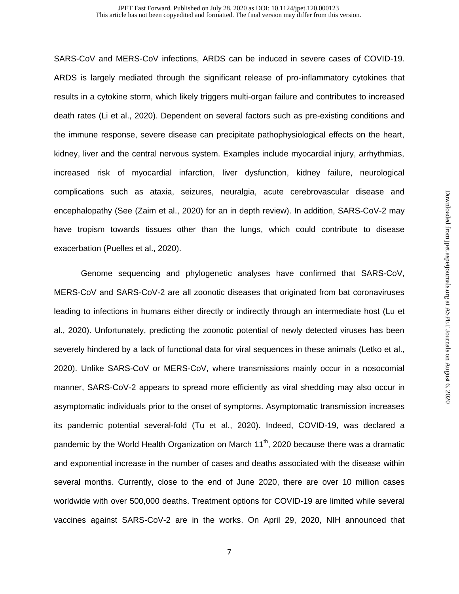SARS-CoV and MERS-CoV infections, ARDS can be induced in severe cases of COVID-19. ARDS is largely mediated through the significant release of pro-inflammatory cytokines that results in a cytokine storm, which likely triggers multi-organ failure and contributes to increased death rates (Li et al., 2020). Dependent on several factors such as pre-existing conditions and the immune response, severe disease can precipitate pathophysiological effects on the heart, kidney, liver and the central nervous system. Examples include myocardial injury, arrhythmias, increased risk of myocardial infarction, liver dysfunction, kidney failure, neurological complications such as ataxia, seizures, neuralgia, acute cerebrovascular disease and encephalopathy (See (Zaim et al., 2020) for an in depth review). In addition, SARS-CoV-2 may have tropism towards tissues other than the lungs, which could contribute to disease exacerbation (Puelles et al., 2020).

Genome sequencing and phylogenetic analyses have confirmed that SARS-CoV, MERS-CoV and SARS-CoV-2 are all zoonotic diseases that originated from bat coronaviruses leading to infections in humans either directly or indirectly through an intermediate host (Lu et al., 2020). Unfortunately, predicting the zoonotic potential of newly detected viruses has been severely hindered by a lack of functional data for viral sequences in these animals (Letko et al., 2020). Unlike SARS-CoV or MERS-CoV, where transmissions mainly occur in a nosocomial manner, SARS-CoV-2 appears to spread more efficiently as viral shedding may also occur in asymptomatic individuals prior to the onset of symptoms. Asymptomatic transmission increases its pandemic potential several-fold (Tu et al., 2020). Indeed, COVID-19, was declared a pandemic by the World Health Organization on March 11<sup>th</sup>, 2020 because there was a dramatic and exponential increase in the number of cases and deaths associated with the disease within several months. Currently, close to the end of June 2020, there are over 10 million cases worldwide with over 500,000 deaths. Treatment options for COVID-19 are limited while several vaccines against SARS-CoV-2 are in the works. On April 29, 2020, NIH announced that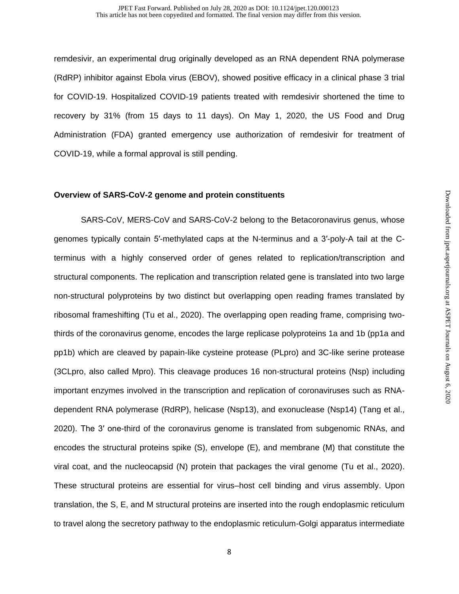remdesivir, an experimental drug originally developed as an RNA dependent RNA polymerase (RdRP) inhibitor against Ebola virus (EBOV), showed positive efficacy in a clinical phase 3 trial for COVID-19. Hospitalized COVID-19 patients treated with remdesivir shortened the time to recovery by 31% (from 15 days to 11 days). On May 1, 2020, the US Food and Drug Administration (FDA) granted emergency use authorization of remdesivir for treatment of COVID-19, while a formal approval is still pending.

### **Overview of SARS-CoV-2 genome and protein constituents**

SARS-CoV, MERS-CoV and SARS-CoV-2 belong to the Betacoronavirus genus, whose genomes typically contain 5′-methylated caps at the N-terminus and a 3′-poly-A tail at the Cterminus with a highly conserved order of genes related to replication/transcription and structural components. The replication and transcription related gene is translated into two large non-structural polyproteins by two distinct but overlapping open reading frames translated by ribosomal frameshifting (Tu et al., 2020). The overlapping open reading frame, comprising twothirds of the coronavirus genome, encodes the large replicase polyproteins 1a and 1b (pp1a and pp1b) which are cleaved by papain-like cysteine protease (PLpro) and 3C-like serine protease (3CLpro, also called Mpro). This cleavage produces 16 non-structural proteins (Nsp) including important enzymes involved in the transcription and replication of coronaviruses such as RNAdependent RNA polymerase (RdRP), helicase (Nsp13), and exonuclease (Nsp14) (Tang et al., 2020). The 3′ one-third of the coronavirus genome is translated from subgenomic RNAs, and encodes the structural proteins spike (S), envelope (E), and membrane (M) that constitute the viral coat, and the nucleocapsid (N) protein that packages the viral genome (Tu et al., 2020). These structural proteins are essential for virus–host cell binding and virus assembly. Upon translation, the S, E, and M structural proteins are inserted into the rough endoplasmic reticulum to travel along the secretory pathway to the endoplasmic reticulum-Golgi apparatus intermediate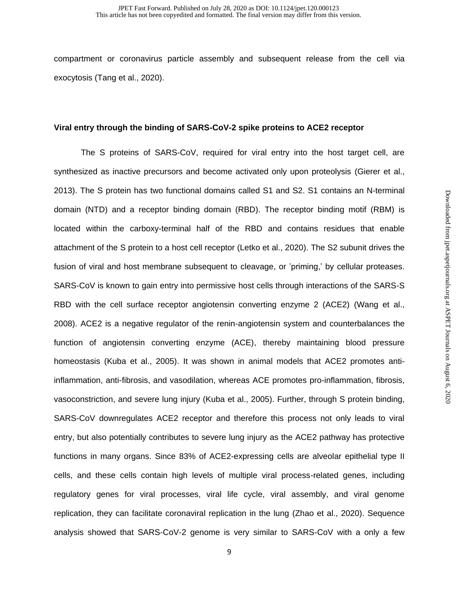compartment or coronavirus particle assembly and subsequent release from the cell via exocytosis (Tang et al., 2020).

### **Viral entry through the binding of SARS-CoV-2 spike proteins to ACE2 receptor**

The S proteins of SARS-CoV, required for viral entry into the host target cell, are synthesized as inactive precursors and become activated only upon proteolysis (Gierer et al., 2013). The S protein has two functional domains called S1 and S2. S1 contains an N-terminal domain (NTD) and a receptor binding domain (RBD). The receptor binding motif (RBM) is located within the carboxy-terminal half of the RBD and contains residues that enable attachment of the S protein to a host cell receptor (Letko et al., 2020). The S2 subunit drives the fusion of viral and host membrane subsequent to cleavage, or 'priming,' by cellular proteases. SARS-CoV is known to gain entry into permissive host cells through interactions of the SARS-S RBD with the cell surface receptor angiotensin converting enzyme 2 (ACE2) (Wang et al., 2008). ACE2 is a negative regulator of the renin-angiotensin system and counterbalances the function of angiotensin converting enzyme (ACE), thereby maintaining blood pressure homeostasis (Kuba et al., 2005). It was shown in animal models that ACE2 promotes antiinflammation, anti-fibrosis, and vasodilation, whereas ACE promotes pro-inflammation, fibrosis, vasoconstriction, and severe lung injury (Kuba et al., 2005). Further, through S protein binding, SARS-CoV downregulates ACE2 receptor and therefore this process not only leads to viral entry, but also potentially contributes to severe lung injury as the ACE2 pathway has protective functions in many organs. Since 83% of ACE2-expressing cells are alveolar epithelial type II cells, and these cells contain high levels of multiple viral process-related genes, including regulatory genes for viral processes, viral life cycle, viral assembly, and viral genome replication, they can facilitate coronaviral replication in the lung (Zhao et al., 2020). Sequence analysis showed that SARS-CoV-2 genome is very similar to SARS-CoV with a only a few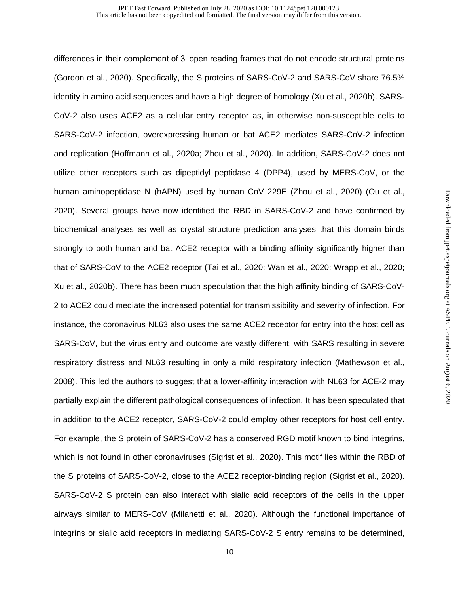differences in their complement of 3' open reading frames that do not encode structural proteins (Gordon et al., 2020). Specifically, the S proteins of SARS-CoV-2 and SARS-CoV share 76.5% identity in amino acid sequences and have a high degree of homology (Xu et al., 2020b). SARS-CoV-2 also uses ACE2 as a cellular entry receptor as, in otherwise non-susceptible cells to SARS-CoV-2 infection, overexpressing human or bat ACE2 mediates SARS-CoV-2 infection and replication (Hoffmann et al., 2020a; Zhou et al., 2020). In addition, SARS-CoV-2 does not utilize other receptors such as dipeptidyl peptidase 4 (DPP4), used by MERS-CoV, or the human aminopeptidase N (hAPN) used by human CoV 229E (Zhou et al., 2020) (Ou et al., 2020). Several groups have now identified the RBD in SARS-CoV-2 and have confirmed by biochemical analyses as well as crystal structure prediction analyses that this domain binds strongly to both human and bat ACE2 receptor with a binding affinity significantly higher than that of SARS-CoV to the ACE2 receptor (Tai et al., 2020; Wan et al., 2020; Wrapp et al., 2020; Xu et al., 2020b). There has been much speculation that the high affinity binding of SARS-CoV-2 to ACE2 could mediate the increased potential for transmissibility and severity of infection. For instance, the coronavirus NL63 also uses the same ACE2 receptor for entry into the host cell as SARS-CoV, but the virus entry and outcome are vastly different, with SARS resulting in severe respiratory distress and NL63 resulting in only a mild respiratory infection (Mathewson et al., 2008). This led the authors to suggest that a lower-affinity interaction with NL63 for ACE-2 may partially explain the different pathological consequences of infection. It has been speculated that in addition to the ACE2 receptor, SARS-CoV-2 could employ other receptors for host cell entry. For example, the S protein of SARS-CoV-2 has a conserved RGD motif known to bind integrins, which is not found in other coronaviruses (Sigrist et al., 2020). This motif lies within the RBD of the S proteins of SARS-CoV-2, close to the ACE2 receptor-binding region (Sigrist et al., 2020). SARS-CoV-2 S protein can also interact with sialic acid receptors of the cells in the upper airways similar to MERS-CoV (Milanetti et al., 2020). Although the functional importance of integrins or sialic acid receptors in mediating SARS-CoV-2 S entry remains to be determined,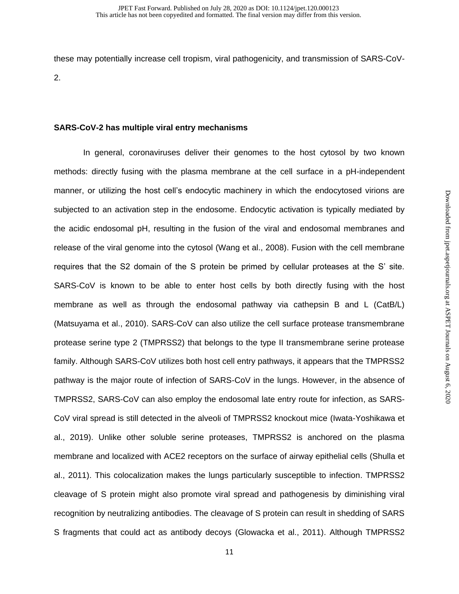these may potentially increase cell tropism, viral pathogenicity, and transmission of SARS-CoV-2.

## **SARS-CoV-2 has multiple viral entry mechanisms**

 In general, coronaviruses deliver their genomes to the host cytosol by two known methods: directly fusing with the plasma membrane at the cell surface in a pH-independent manner, or utilizing the host cell's endocytic machinery in which the endocytosed virions are subjected to an activation step in the endosome. Endocytic activation is typically mediated by the acidic endosomal pH, resulting in the fusion of the viral and endosomal membranes and release of the viral genome into the cytosol (Wang et al., 2008). Fusion with the cell membrane requires that the S2 domain of the S protein be primed by cellular proteases at the S' site. SARS-CoV is known to be able to enter host cells by both directly fusing with the host membrane as well as through the endosomal pathway via cathepsin B and L (CatB/L) (Matsuyama et al., 2010). SARS-CoV can also utilize the cell surface protease transmembrane protease serine type 2 (TMPRSS2) that belongs to the type II transmembrane serine protease family. Although SARS-CoV utilizes both host cell entry pathways, it appears that the TMPRSS2 pathway is the major route of infection of SARS-CoV in the lungs. However, in the absence of TMPRSS2, SARS-CoV can also employ the endosomal late entry route for infection, as SARS-CoV viral spread is still detected in the alveoli of TMPRSS2 knockout mice (Iwata-Yoshikawa et al., 2019). Unlike other soluble serine proteases, TMPRSS2 is anchored on the plasma membrane and localized with ACE2 receptors on the surface of airway epithelial cells (Shulla et al., 2011). This colocalization makes the lungs particularly susceptible to infection. TMPRSS2 cleavage of S protein might also promote viral spread and pathogenesis by diminishing viral recognition by neutralizing antibodies. The cleavage of S protein can result in shedding of SARS S fragments that could act as antibody decoys (Glowacka et al., 2011). Although TMPRSS2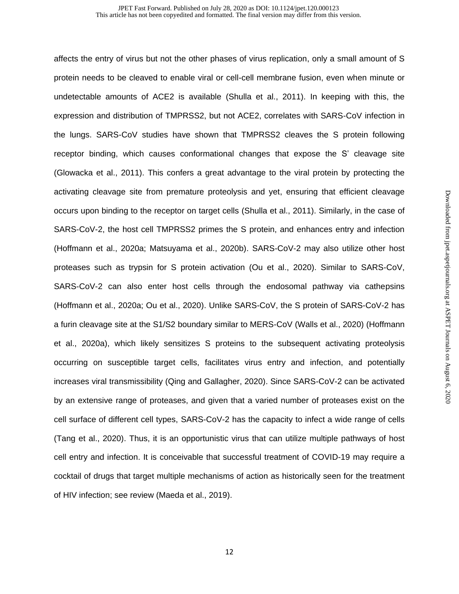affects the entry of virus but not the other phases of virus replication, only a small amount of S protein needs to be cleaved to enable viral or cell-cell membrane fusion, even when minute or undetectable amounts of ACE2 is available (Shulla et al., 2011). In keeping with this, the expression and distribution of TMPRSS2, but not ACE2, correlates with SARS-CoV infection in the lungs. SARS-CoV studies have shown that TMPRSS2 cleaves the S protein following receptor binding, which causes conformational changes that expose the S' cleavage site (Glowacka et al., 2011). This confers a great advantage to the viral protein by protecting the activating cleavage site from premature proteolysis and yet, ensuring that efficient cleavage occurs upon binding to the receptor on target cells (Shulla et al., 2011). Similarly, in the case of SARS-CoV-2, the host cell TMPRSS2 primes the S protein, and enhances entry and infection (Hoffmann et al., 2020a; Matsuyama et al., 2020b). SARS-CoV-2 may also utilize other host proteases such as trypsin for S protein activation (Ou et al., 2020). Similar to SARS-CoV, SARS-CoV-2 can also enter host cells through the endosomal pathway via cathepsins (Hoffmann et al., 2020a; Ou et al., 2020). Unlike SARS-CoV, the S protein of SARS-CoV-2 has a furin cleavage site at the S1/S2 boundary similar to MERS-CoV (Walls et al., 2020) (Hoffmann et al., 2020a), which likely sensitizes S proteins to the subsequent activating proteolysis occurring on susceptible target cells, facilitates virus entry and infection, and potentially increases viral transmissibility (Qing and Gallagher, 2020). Since SARS-CoV-2 can be activated by an extensive range of proteases, and given that a varied number of proteases exist on the cell surface of different cell types, SARS-CoV-2 has the capacity to infect a wide range of cells (Tang et al., 2020). Thus, it is an opportunistic virus that can utilize multiple pathways of host cell entry and infection. It is conceivable that successful treatment of COVID-19 may require a cocktail of drugs that target multiple mechanisms of action as historically seen for the treatment of HIV infection; see review (Maeda et al., 2019).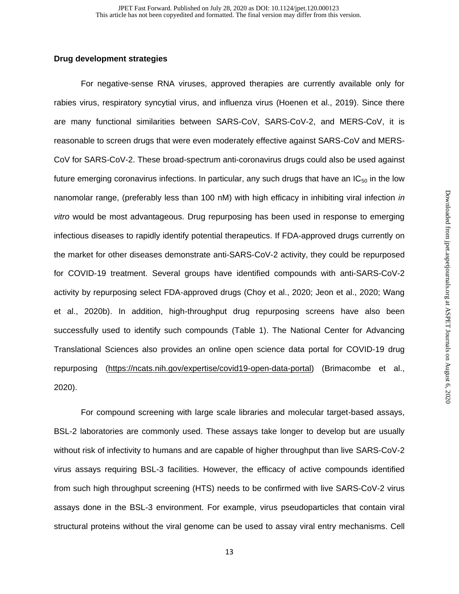## **Drug development strategies**

For negative-sense RNA viruses, approved therapies are currently available only for rabies virus, respiratory syncytial virus, and influenza virus (Hoenen et al., 2019). Since there are many functional similarities between SARS-CoV, SARS-CoV-2, and MERS-CoV, it is reasonable to screen drugs that were even moderately effective against SARS-CoV and MERS-CoV for SARS-CoV-2. These broad-spectrum anti-coronavirus drugs could also be used against future emerging coronavirus infections. In particular, any such drugs that have an  $IC_{50}$  in the low nanomolar range, (preferably less than 100 nM) with high efficacy in inhibiting viral infection *in vitro* would be most advantageous. Drug repurposing has been used in response to emerging infectious diseases to rapidly identify potential therapeutics. If FDA-approved drugs currently on the market for other diseases demonstrate anti-SARS-CoV-2 activity, they could be repurposed for COVID-19 treatment. Several groups have identified compounds with anti-SARS-CoV-2 activity by repurposing select FDA-approved drugs (Choy et al., 2020; Jeon et al., 2020; Wang et al., 2020b). In addition, high-throughput drug repurposing screens have also been successfully used to identify such compounds (Table 1). The National Center for Advancing Translational Sciences also provides an online open science data portal for COVID-19 drug repurposing [\(https://ncats.nih.gov/expertise/covid19-open-data-portal\)](https://ncats.nih.gov/expertise/covid19-open-data-portal) (Brimacombe et al., 2020).

For compound screening with large scale libraries and molecular target-based assays, BSL-2 laboratories are commonly used. These assays take longer to develop but are usually without risk of infectivity to humans and are capable of higher throughput than live SARS-CoV-2 virus assays requiring BSL-3 facilities. However, the efficacy of active compounds identified from such high throughput screening (HTS) needs to be confirmed with live SARS-CoV-2 virus assays done in the BSL-3 environment. For example, virus pseudoparticles that contain viral structural proteins without the viral genome can be used to assay viral entry mechanisms. Cell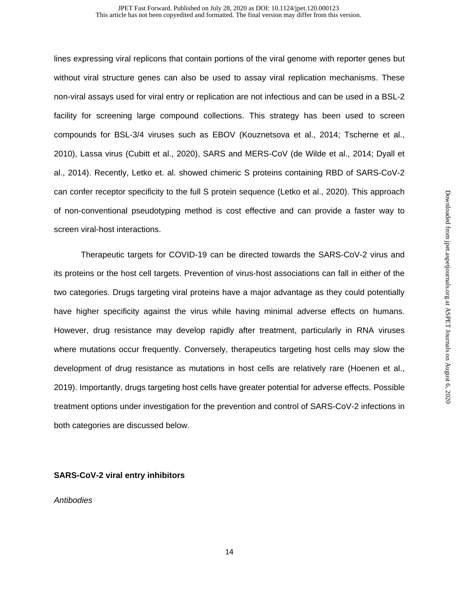lines expressing viral replicons that contain portions of the viral genome with reporter genes but without viral structure genes can also be used to assay viral replication mechanisms. These non-viral assays used for viral entry or replication are not infectious and can be used in a BSL-2 facility for screening large compound collections. This strategy has been used to screen compounds for BSL-3/4 viruses such as EBOV (Kouznetsova et al., 2014; Tscherne et al., 2010), Lassa virus (Cubitt et al., 2020), SARS and MERS-CoV (de Wilde et al., 2014; Dyall et al., 2014). Recently, Letko et. al. showed chimeric S proteins containing RBD of SARS-CoV-2 can confer receptor specificity to the full S protein sequence (Letko et al., 2020). This approach of non-conventional pseudotyping method is cost effective and can provide a faster way to screen viral-host interactions.

Therapeutic targets for COVID-19 can be directed towards the SARS-CoV-2 virus and its proteins or the host cell targets. Prevention of virus-host associations can fall in either of the two categories. Drugs targeting viral proteins have a major advantage as they could potentially have higher specificity against the virus while having minimal adverse effects on humans. However, drug resistance may develop rapidly after treatment, particularly in RNA viruses where mutations occur frequently. Conversely, therapeutics targeting host cells may slow the development of drug resistance as mutations in host cells are relatively rare (Hoenen et al., 2019). Importantly, drugs targeting host cells have greater potential for adverse effects. Possible treatment options under investigation for the prevention and control of SARS-CoV-2 infections in both categories are discussed below.

## **SARS-CoV-2 viral entry inhibitors**

## *Antibodies*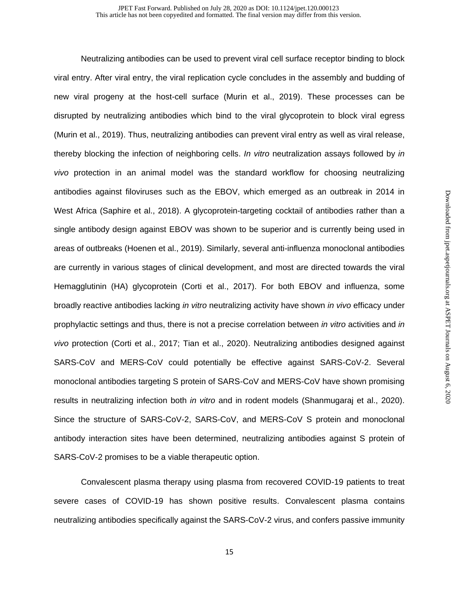Neutralizing antibodies can be used to prevent viral cell surface receptor binding to block viral entry. After viral entry, the viral replication cycle concludes in the assembly and budding of new viral progeny at the host-cell surface (Murin et al., 2019). These processes can be disrupted by neutralizing antibodies which bind to the viral glycoprotein to block viral egress (Murin et al., 2019). Thus, neutralizing antibodies can prevent viral entry as well as viral release, thereby blocking the infection of neighboring cells. *In vitro* neutralization assays followed by *in vivo* protection in an animal model was the standard workflow for choosing neutralizing antibodies against filoviruses such as the EBOV, which emerged as an outbreak in 2014 in West Africa (Saphire et al., 2018). A glycoprotein-targeting cocktail of antibodies rather than a single antibody design against EBOV was shown to be superior and is currently being used in areas of outbreaks (Hoenen et al., 2019). Similarly, several anti-influenza monoclonal antibodies are currently in various stages of clinical development, and most are directed towards the viral Hemagglutinin (HA) glycoprotein (Corti et al., 2017). For both EBOV and influenza, some broadly reactive antibodies lacking *in vitro* neutralizing activity have shown *in vivo* efficacy under prophylactic settings and thus, there is not a precise correlation between *in vitro* activities and *in vivo* protection (Corti et al., 2017; Tian et al., 2020). Neutralizing antibodies designed against SARS-CoV and MERS-CoV could potentially be effective against SARS-CoV-2. Several monoclonal antibodies targeting S protein of SARS-CoV and MERS-CoV have shown promising results in neutralizing infection both *in vitro* and in rodent models (Shanmugaraj et al., 2020). Since the structure of SARS-CoV-2, SARS-CoV, and MERS-CoV S protein and monoclonal antibody interaction sites have been determined, neutralizing antibodies against S protein of SARS-CoV-2 promises to be a viable therapeutic option.

Convalescent plasma therapy using plasma from recovered COVID-19 patients to treat severe cases of COVID-19 has shown positive results. Convalescent plasma contains neutralizing antibodies specifically against the SARS-CoV-2 virus, and confers passive immunity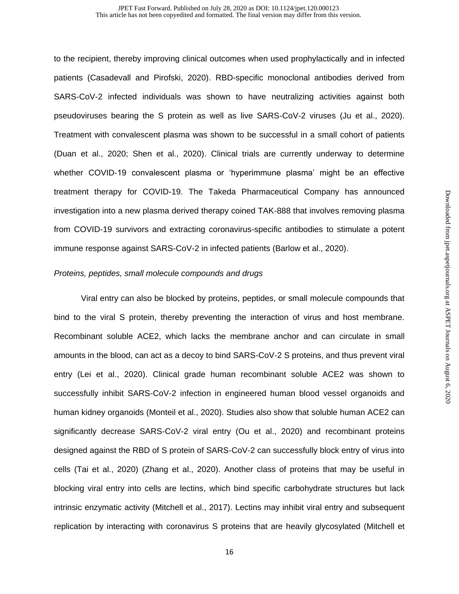to the recipient, thereby improving clinical outcomes when used prophylactically and in infected patients (Casadevall and Pirofski, 2020). RBD-specific monoclonal antibodies derived from SARS-CoV-2 infected individuals was shown to have neutralizing activities against both pseudoviruses bearing the S protein as well as live SARS-CoV-2 viruses (Ju et al., 2020). Treatment with convalescent plasma was shown to be successful in a small cohort of patients (Duan et al., 2020; Shen et al., 2020). Clinical trials are currently underway to determine whether COVID-19 convalescent plasma or 'hyperimmune plasma' might be an effective treatment therapy for COVID-19. The Takeda Pharmaceutical Company has announced investigation into a new plasma derived therapy coined TAK-888 that involves removing plasma from COVID-19 survivors and extracting coronavirus-specific antibodies to stimulate a potent immune response against SARS-CoV-2 in infected patients (Barlow et al., 2020).

### *Proteins, peptides, small molecule compounds and drugs*

Viral entry can also be blocked by proteins, peptides, or small molecule compounds that bind to the viral S protein, thereby preventing the interaction of virus and host membrane. Recombinant soluble ACE2, which lacks the membrane anchor and can circulate in small amounts in the blood, can act as a decoy to bind SARS-CoV-2 S proteins, and thus prevent viral entry (Lei et al., 2020). Clinical grade human recombinant soluble ACE2 was shown to successfully inhibit SARS-CoV-2 infection in engineered human blood vessel organoids and human kidney organoids (Monteil et al., 2020). Studies also show that soluble human ACE2 can significantly decrease SARS-CoV-2 viral entry (Ou et al., 2020) and recombinant proteins designed against the RBD of S protein of SARS-CoV-2 can successfully block entry of virus into cells (Tai et al., 2020) (Zhang et al., 2020). Another class of proteins that may be useful in blocking viral entry into cells are lectins, which bind specific carbohydrate structures but lack intrinsic enzymatic activity (Mitchell et al., 2017). Lectins may inhibit viral entry and subsequent replication by interacting with coronavirus S proteins that are heavily glycosylated (Mitchell et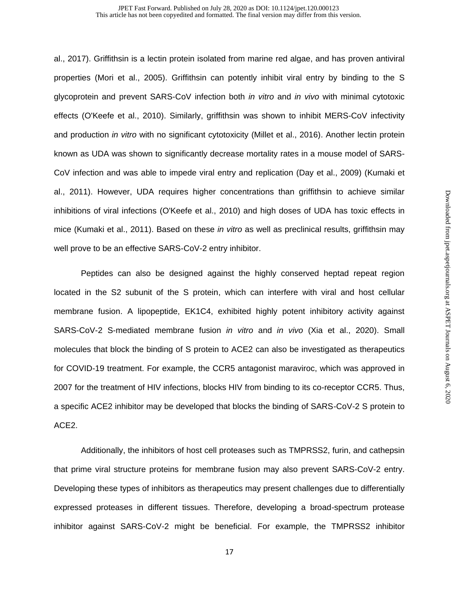#### This article has not been copyedited and formatted. The final version may differ from this version. JPET Fast Forward. Published on July 28, 2020 as DOI: 10.1124/jpet.120.000123

al., 2017). Griffithsin is a lectin protein isolated from marine red algae, and has proven antiviral properties (Mori et al., 2005). Griffithsin can potently inhibit viral entry by binding to the S glycoprotein and prevent SARS-CoV infection both *in vitro* and *in vivo* with minimal cytotoxic effects (O'Keefe et al., 2010). Similarly, griffithsin was shown to inhibit MERS-CoV infectivity and production *in vitro* with no significant cytotoxicity (Millet et al., 2016). Another lectin protein known as UDA was shown to significantly decrease mortality rates in a mouse model of SARS-CoV infection and was able to impede viral entry and replication (Day et al., 2009) (Kumaki et al., 2011). However, UDA requires higher concentrations than griffithsin to achieve similar inhibitions of viral infections (O'Keefe et al., 2010) and high doses of UDA has toxic effects in mice (Kumaki et al., 2011). Based on these *in vitro* as well as preclinical results, griffithsin may well prove to be an effective SARS-CoV-2 entry inhibitor.

Peptides can also be designed against the highly conserved heptad repeat region located in the S2 subunit of the S protein, which can interfere with viral and host cellular membrane fusion. A lipopeptide, EK1C4, exhibited highly potent inhibitory activity against SARS-CoV-2 S-mediated membrane fusion *in vitro* and *in vivo* (Xia et al., 2020). Small molecules that block the binding of S protein to ACE2 can also be investigated as therapeutics for COVID-19 treatment. For example, the CCR5 antagonist maraviroc, which was approved in 2007 for the treatment of HIV infections, blocks HIV from binding to its co-receptor CCR5. Thus, a specific ACE2 inhibitor may be developed that blocks the binding of SARS-CoV-2 S protein to ACE2.

Additionally, the inhibitors of host cell proteases such as TMPRSS2, furin, and cathepsin that prime viral structure proteins for membrane fusion may also prevent SARS-CoV-2 entry. Developing these types of inhibitors as therapeutics may present challenges due to differentially expressed proteases in different tissues. Therefore, developing a broad-spectrum protease inhibitor against SARS-CoV-2 might be beneficial. For example, the TMPRSS2 inhibitor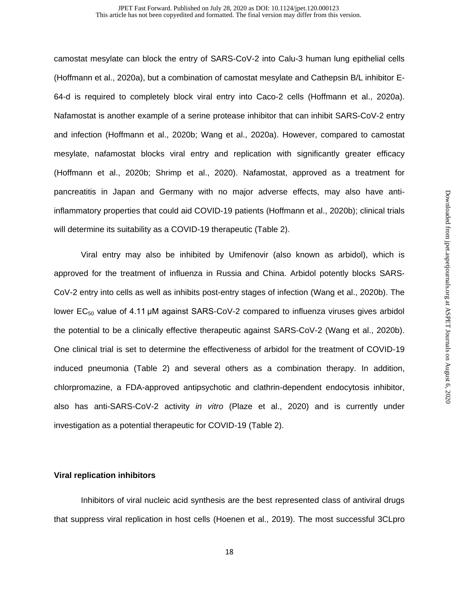camostat mesylate can block the entry of SARS-CoV-2 into Calu-3 human lung epithelial cells (Hoffmann et al., 2020a), but a combination of camostat mesylate and Cathepsin B/L inhibitor E-64-d is required to completely block viral entry into Caco-2 cells (Hoffmann et al., 2020a). Nafamostat is another example of a serine protease inhibitor that can inhibit SARS-CoV-2 entry and infection (Hoffmann et al., 2020b; Wang et al., 2020a). However, compared to camostat mesylate, nafamostat blocks viral entry and replication with significantly greater efficacy (Hoffmann et al., 2020b; Shrimp et al., 2020). Nafamostat, approved as a treatment for pancreatitis in Japan and Germany with no major adverse effects, may also have antiinflammatory properties that could aid COVID-19 patients (Hoffmann et al., 2020b); clinical trials will determine its suitability as a COVID-19 therapeutic (Table 2).

Viral entry may also be inhibited by Umifenovir (also known as arbidol), which is approved for the treatment of influenza in Russia and China. Arbidol potently blocks SARS-CoV-2 entry into cells as well as inhibits post-entry stages of infection (Wang et al., 2020b). The lower  $EC_{50}$  value of 4.11 µM against SARS-CoV-2 compared to influenza viruses gives arbidol the potential to be a clinically effective therapeutic against SARS-CoV-2 (Wang et al., 2020b). One clinical trial is set to determine the effectiveness of arbidol for the treatment of COVID-19 induced pneumonia (Table 2) and several others as a combination therapy. In addition, chlorpromazine, a FDA-approved antipsychotic and clathrin-dependent endocytosis inhibitor, also has anti-SARS-CoV-2 activity *in vitro* (Plaze et al., 2020) and is currently under investigation as a potential therapeutic for COVID-19 (Table 2).

### **Viral replication inhibitors**

Inhibitors of viral nucleic acid synthesis are the best represented class of antiviral drugs that suppress viral replication in host cells (Hoenen et al., 2019). The most successful 3CLpro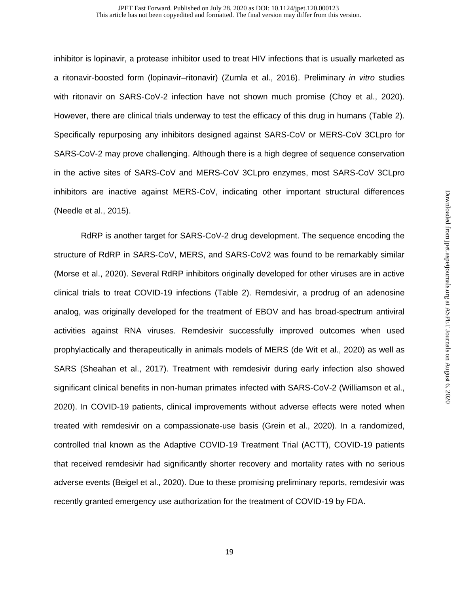inhibitor is lopinavir, a protease inhibitor used to treat HIV infections that is usually marketed as a ritonavir-boosted form (lopinavir–ritonavir) (Zumla et al., 2016). Preliminary *in vitro* studies with ritonavir on SARS-CoV-2 infection have not shown much promise (Choy et al., 2020). However, there are clinical trials underway to test the efficacy of this drug in humans (Table 2). Specifically repurposing any inhibitors designed against SARS-CoV or MERS-CoV 3CLpro for SARS-CoV-2 may prove challenging. Although there is a high degree of sequence conservation in the active sites of SARS-CoV and MERS-CoV 3CLpro enzymes, most SARS-CoV 3CLpro inhibitors are inactive against MERS-CoV, indicating other important structural differences (Needle et al., 2015).

RdRP is another target for SARS-CoV-2 drug development. The sequence encoding the structure of RdRP in SARS‐CoV, MERS, and SARS‐CoV2 was found to be remarkably similar (Morse et al., 2020). Several RdRP inhibitors originally developed for other viruses are in active clinical trials to treat COVID-19 infections (Table 2). Remdesivir, a prodrug of an adenosine analog, was originally developed for the treatment of EBOV and has broad-spectrum antiviral activities against RNA viruses. Remdesivir successfully improved outcomes when used prophylactically and therapeutically in animals models of MERS (de Wit et al., 2020) as well as SARS (Sheahan et al., 2017). Treatment with remdesivir during early infection also showed significant clinical benefits in non-human primates infected with SARS-CoV-2 (Williamson et al., 2020). In COVID-19 patients, clinical improvements without adverse effects were noted when treated with remdesivir on a compassionate-use basis (Grein et al., 2020). In a randomized, controlled trial known as the Adaptive COVID-19 Treatment Trial (ACTT), COVID-19 patients that received remdesivir had significantly shorter recovery and mortality rates with no serious adverse events (Beigel et al., 2020). Due to these promising preliminary reports, remdesivir was recently granted emergency use authorization for the treatment of COVID-19 by FDA.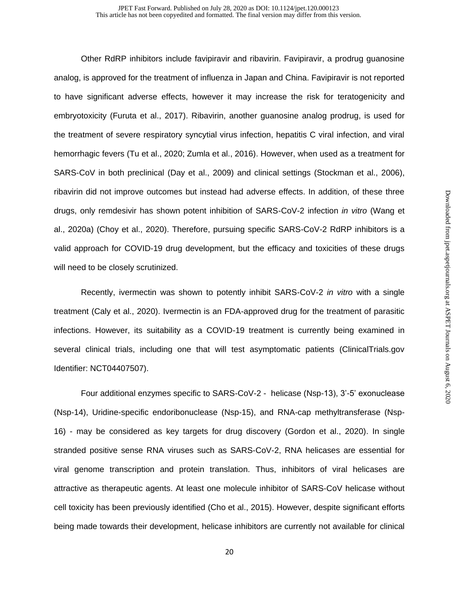Other RdRP inhibitors include favipiravir and ribavirin. Favipiravir, a prodrug guanosine analog, is approved for the treatment of influenza in Japan and China. Favipiravir is not reported to have significant adverse effects, however it may increase the risk for teratogenicity and embryotoxicity (Furuta et al., 2017). Ribavirin, another guanosine analog prodrug, is used for the treatment of severe respiratory syncytial virus infection, hepatitis C viral infection, and viral hemorrhagic fevers (Tu et al., 2020; Zumla et al., 2016). However, when used as a treatment for SARS-CoV in both preclinical (Day et al., 2009) and clinical settings (Stockman et al., 2006), ribavirin did not improve outcomes but instead had adverse effects. In addition, of these three drugs, only remdesivir has shown potent inhibition of SARS-CoV-2 infection *in vitro* (Wang et al., 2020a) (Choy et al., 2020). Therefore, pursuing specific SARS-CoV-2 RdRP inhibitors is a valid approach for COVID-19 drug development, but the efficacy and toxicities of these drugs will need to be closely scrutinized.

Recently, ivermectin was shown to potently inhibit SARS-CoV-2 *in vitro* with a single treatment (Caly et al., 2020). Ivermectin is an FDA-approved drug for the treatment of parasitic infections. However, its suitability as a COVID-19 treatment is currently being examined in several clinical trials, including one that will test asymptomatic patients (ClinicalTrials.gov Identifier: NCT04407507).

Four additional enzymes specific to SARS-CoV-2 - helicase (Nsp-13), 3'-5' exonuclease (Nsp-14), Uridine-specific endoribonuclease (Nsp-15), and RNA-cap methyltransferase (Nsp-16) - may be considered as key targets for drug discovery (Gordon et al., 2020). In single stranded positive sense RNA viruses such as SARS-CoV-2, RNA helicases are essential for viral genome transcription and protein translation. Thus, inhibitors of viral helicases are attractive as therapeutic agents. At least one molecule inhibitor of SARS-CoV helicase without cell toxicity has been previously identified (Cho et al., 2015). However, despite significant efforts being made towards their development, helicase inhibitors are currently not available for clinical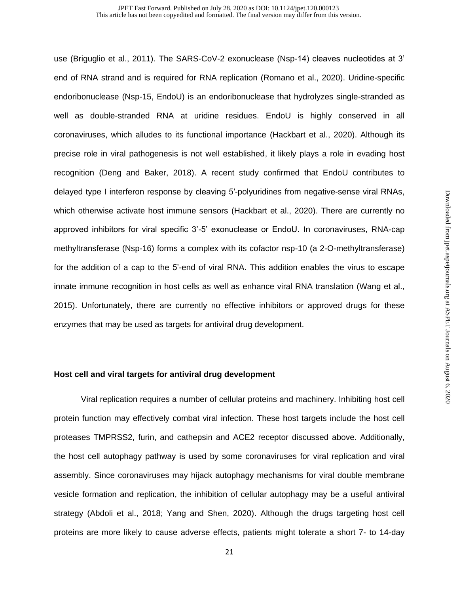use (Briguglio et al., 2011). The SARS-CoV-2 exonuclease (Nsp-14) cleaves nucleotides at 3' end of RNA strand and is required for RNA replication (Romano et al., 2020). Uridine-specific endoribonuclease (Nsp-15, EndoU) is an endoribonuclease that hydrolyzes single-stranded as well as double-stranded RNA at uridine residues. EndoU is highly conserved in all coronaviruses, which alludes to its functional importance (Hackbart et al., 2020). Although its precise role in viral pathogenesis is not well established, it likely plays a role in evading host recognition (Deng and Baker, 2018). A recent study confirmed that EndoU contributes to delayed type I interferon response by cleaving 5′-polyuridines from negative-sense viral RNAs, which otherwise activate host immune sensors (Hackbart et al., 2020). There are currently no approved inhibitors for viral specific 3'-5' exonuclease or EndoU. In coronaviruses, RNA-cap methyltransferase (Nsp-16) forms a complex with its cofactor nsp-10 (a 2-O-methyltransferase) for the addition of a cap to the 5'-end of viral RNA. This addition enables the virus to escape innate immune recognition in host cells as well as enhance viral RNA translation (Wang et al., 2015). Unfortunately, there are currently no effective inhibitors or approved drugs for these enzymes that may be used as targets for antiviral drug development.

### **Host cell and viral targets for antiviral drug development**

Viral replication requires a number of cellular proteins and machinery. Inhibiting host cell protein function may effectively combat viral infection. These host targets include the host cell proteases TMPRSS2, furin, and cathepsin and ACE2 receptor discussed above. Additionally, the host cell autophagy pathway is used by some coronaviruses for viral replication and viral assembly. Since coronaviruses may hijack autophagy mechanisms for viral double membrane vesicle formation and replication, the inhibition of cellular autophagy may be a useful antiviral strategy (Abdoli et al., 2018; Yang and Shen, 2020). Although the drugs targeting host cell proteins are more likely to cause adverse effects, patients might tolerate a short 7- to 14-day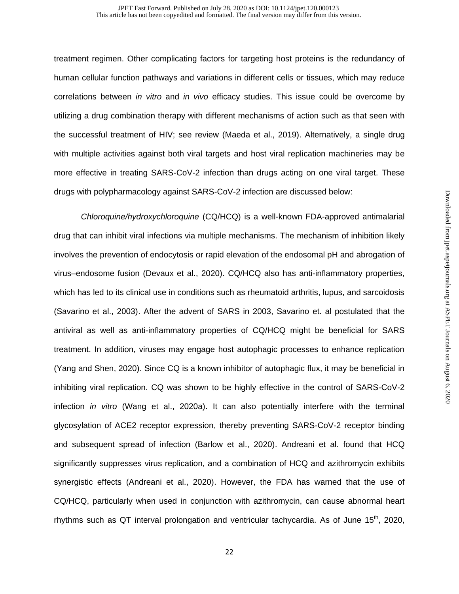treatment regimen. Other complicating factors for targeting host proteins is the redundancy of human cellular function pathways and variations in different cells or tissues, which may reduce correlations between *in vitro* and *in vivo* efficacy studies. This issue could be overcome by utilizing a drug combination therapy with different mechanisms of action such as that seen with the successful treatment of HIV; see review (Maeda et al., 2019). Alternatively, a single drug with multiple activities against both viral targets and host viral replication machineries may be more effective in treating SARS-CoV-2 infection than drugs acting on one viral target. These drugs with polypharmacology against SARS-CoV-2 infection are discussed below:

*Chloroquine/hydroxychloroquine* (CQ/HCQ) is a well-known FDA-approved antimalarial drug that can inhibit viral infections via multiple mechanisms. The mechanism of inhibition likely involves the prevention of endocytosis or rapid elevation of the endosomal pH and abrogation of virus–endosome fusion (Devaux et al., 2020). CQ/HCQ also has anti-inflammatory properties, which has led to its clinical use in conditions such as rheumatoid arthritis, lupus, and sarcoidosis (Savarino et al., 2003). After the advent of SARS in 2003, Savarino et. al postulated that the antiviral as well as anti-inflammatory properties of CQ/HCQ might be beneficial for SARS treatment. In addition, viruses may engage host autophagic processes to enhance replication (Yang and Shen, 2020). Since CQ is a known inhibitor of autophagic flux, it may be beneficial in inhibiting viral replication. CQ was shown to be highly effective in the control of SARS-CoV-2 infection *in vitro* (Wang et al., 2020a). It can also potentially interfere with the terminal glycosylation of ACE2 receptor expression, thereby preventing SARS-CoV-2 receptor binding and subsequent spread of infection (Barlow et al., 2020). Andreani et al. found that HCQ significantly suppresses virus replication, and a combination of HCQ and azithromycin exhibits synergistic effects (Andreani et al., 2020). However, the FDA has warned that the use of CQ/HCQ, particularly when used in conjunction with azithromycin, can cause abnormal heart rhythms such as QT interval prolongation and ventricular tachycardia. As of June  $15<sup>th</sup>$ , 2020,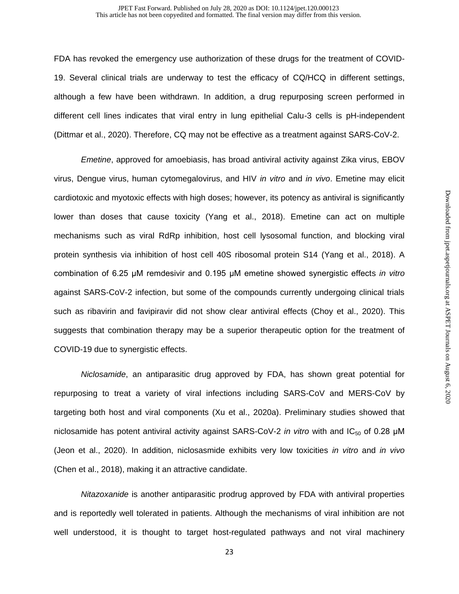#### This article has not been copyedited and formatted. The final version may differ from this version. JPET Fast Forward. Published on July 28, 2020 as DOI: 10.1124/jpet.120.000123

FDA has revoked the emergency use authorization of these drugs for the treatment of COVID-19. Several clinical trials are underway to test the efficacy of CQ/HCQ in different settings, although a few have been withdrawn. In addition, a drug repurposing screen performed in different cell lines indicates that viral entry in lung epithelial Calu-3 cells is pH-independent (Dittmar et al., 2020). Therefore, CQ may not be effective as a treatment against SARS-CoV-2.

*Emetine*, approved for amoebiasis, has broad antiviral activity against Zika virus, EBOV virus, Dengue virus, human cytomegalovirus, and HIV *in vitro* and *in vivo*. Emetine may elicit cardiotoxic and myotoxic effects with high doses; however, its potency as antiviral is significantly lower than doses that cause toxicity (Yang et al., 2018). Emetine can act on multiple mechanisms such as viral RdRp inhibition, host cell lysosomal function, and blocking viral protein synthesis via inhibition of host cell 40S ribosomal protein S14 (Yang et al., 2018). A combination of 6.25 μM remdesivir and 0.195 μM emetine showed synergistic effects *in vitro* against SARS-CoV-2 infection, but some of the compounds currently undergoing clinical trials such as ribavirin and favipiravir did not show clear antiviral effects (Choy et al., 2020). This suggests that combination therapy may be a superior therapeutic option for the treatment of COVID-19 due to synergistic effects.

*Niclosamide*, an antiparasitic drug approved by FDA, has shown great potential for repurposing to treat a variety of viral infections including SARS-CoV and MERS-CoV by targeting both host and viral components (Xu et al., 2020a). Preliminary studies showed that niclosamide has potent antiviral activity against SARS-CoV-2 *in vitro* with and IC<sub>50</sub> of 0.28 μM (Jeon et al., 2020). In addition, niclosasmide exhibits very low toxicities *in vitro* and *in vivo* (Chen et al., 2018), making it an attractive candidate.

*Nitazoxanide* is another antiparasitic prodrug approved by FDA with antiviral properties and is reportedly well tolerated in patients. Although the mechanisms of viral inhibition are not well understood, it is thought to target host-regulated pathways and not viral machinery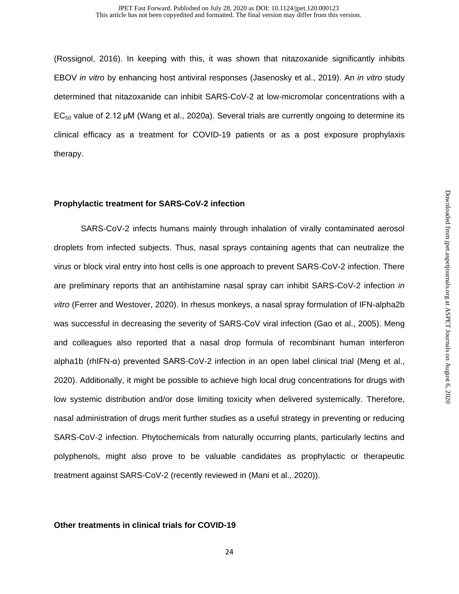(Rossignol, 2016). In keeping with this, it was shown that nitazoxanide significantly inhibits EBOV *in vitro* by enhancing host antiviral responses (Jasenosky et al., 2019). An *in vitro* study determined that nitazoxanide can inhibit SARS-CoV-2 at low-micromolar concentrations with a  $EC_{50}$  value of 2.12 µM (Wang et al., 2020a). Several trials are currently ongoing to determine its clinical efficacy as a treatment for COVID-19 patients or as a post exposure prophylaxis therapy.

## **Prophylactic treatment for SARS-CoV-2 infection**

SARS-CoV-2 infects humans mainly through inhalation of virally contaminated aerosol droplets from infected subjects. Thus, nasal sprays containing agents that can neutralize the virus or block viral entry into host cells is one approach to prevent SARS-CoV-2 infection. There are preliminary reports that an antihistamine nasal spray can inhibit SARS-CoV-2 infection *in vitro* (Ferrer and Westover, 2020). In rhesus monkeys, a nasal spray formulation of IFN-alpha2b was successful in decreasing the severity of SARS-CoV viral infection (Gao et al., 2005). Meng and colleagues also reported that a nasal drop formula of recombinant human interferon alpha1b (rhIFN-α) prevented SARS-CoV-2 infection in an open label clinical trial (Meng et al., 2020). Additionally, it might be possible to achieve high local drug concentrations for drugs with low systemic distribution and/or dose limiting toxicity when delivered systemically. Therefore, nasal administration of drugs merit further studies as a useful strategy in preventing or reducing SARS-CoV-2 infection. Phytochemicals from naturally occurring plants, particularly lectins and polyphenols, might also prove to be valuable candidates as prophylactic or therapeutic treatment against SARS-CoV-2 (recently reviewed in (Mani et al., 2020)).

## **Other treatments in clinical trials for COVID-19**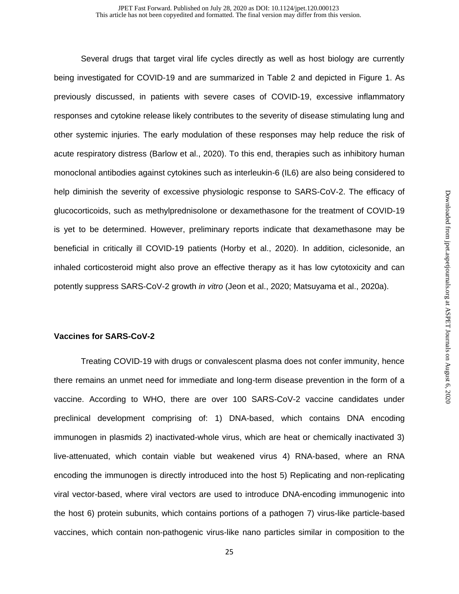Several drugs that target viral life cycles directly as well as host biology are currently being investigated for COVID-19 and are summarized in Table 2 and depicted in Figure 1. As previously discussed, in patients with severe cases of COVID-19, excessive inflammatory responses and cytokine release likely contributes to the severity of disease stimulating lung and other systemic injuries. The early modulation of these responses may help reduce the risk of acute respiratory distress (Barlow et al., 2020). To this end, therapies such as inhibitory human monoclonal antibodies against cytokines such as interleukin-6 (IL6) are also being considered to help diminish the severity of excessive physiologic response to SARS-CoV-2. The efficacy of glucocorticoids, such as methylprednisolone or dexamethasone for the treatment of COVID-19 is yet to be determined. However, preliminary reports indicate that dexamethasone may be beneficial in critically ill COVID-19 patients (Horby et al., 2020). In addition, ciclesonide, an inhaled corticosteroid might also prove an effective therapy as it has low cytotoxicity and can potently suppress SARS-CoV-2 growth *in vitro* (Jeon et al., 2020; Matsuyama et al., 2020a).

## **Vaccines for SARS-CoV-2**

Treating COVID-19 with drugs or convalescent plasma does not confer immunity, hence there remains an unmet need for immediate and long-term disease prevention in the form of a vaccine. According to WHO, there are over 100 SARS-CoV-2 vaccine candidates under preclinical development comprising of: 1) DNA-based, which contains DNA encoding immunogen in plasmids 2) inactivated-whole virus, which are heat or chemically inactivated 3) live-attenuated, which contain viable but weakened virus 4) RNA-based, where an RNA encoding the immunogen is directly introduced into the host 5) Replicating and non-replicating viral vector-based, where viral vectors are used to introduce DNA-encoding immunogenic into the host 6) protein subunits, which contains portions of a pathogen 7) virus-like particle-based vaccines, which contain non-pathogenic virus-like nano particles similar in composition to the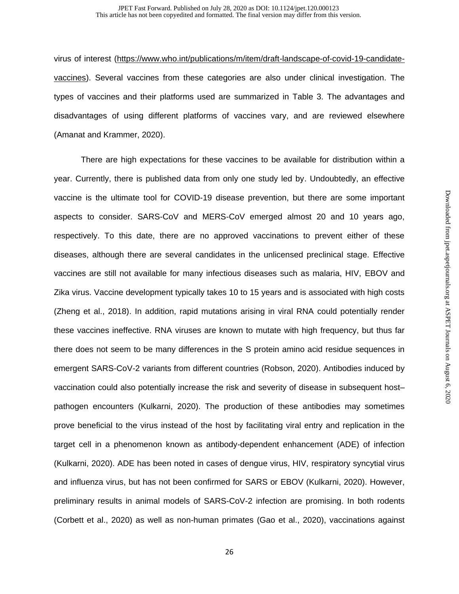virus of interest [\(https://www.who.int/publications/m/item/draft-landscape-of-covid-19-candidate](https://www.who.int/publications/m/item/draft-landscape-of-covid-19-candidate-vaccines)[vaccines\)](https://www.who.int/publications/m/item/draft-landscape-of-covid-19-candidate-vaccines). Several vaccines from these categories are also under clinical investigation. The types of vaccines and their platforms used are summarized in Table 3. The advantages and disadvantages of using different platforms of vaccines vary, and are reviewed elsewhere (Amanat and Krammer, 2020).

There are high expectations for these vaccines to be available for distribution within a year. Currently, there is published data from only one study led by. Undoubtedly, an effective vaccine is the ultimate tool for COVID-19 disease prevention, but there are some important aspects to consider. SARS-CoV and MERS-CoV emerged almost 20 and 10 years ago, respectively. To this date, there are no approved vaccinations to prevent either of these diseases, although there are several candidates in the unlicensed preclinical stage. Effective vaccines are still not available for many infectious diseases such as malaria, HIV, EBOV and Zika virus. Vaccine development typically takes 10 to 15 years and is associated with high costs (Zheng et al., 2018). In addition, rapid mutations arising in viral RNA could potentially render these vaccines ineffective. RNA viruses are known to mutate with high frequency, but thus far there does not seem to be many differences in the S protein amino acid residue sequences in emergent SARS-CoV-2 variants from different countries (Robson, 2020). Antibodies induced by vaccination could also potentially increase the risk and severity of disease in subsequent host– pathogen encounters (Kulkarni, 2020). The production of these antibodies may sometimes prove beneficial to the virus instead of the host by facilitating viral entry and replication in the target cell in a phenomenon known as antibody-dependent enhancement (ADE) of infection (Kulkarni, 2020). ADE has been noted in cases of dengue virus, HIV, respiratory syncytial virus and influenza virus, but has not been confirmed for SARS or EBOV (Kulkarni, 2020). However, preliminary results in animal models of SARS-CoV-2 infection are promising. In both rodents (Corbett et al., 2020) as well as non-human primates (Gao et al., 2020), vaccinations against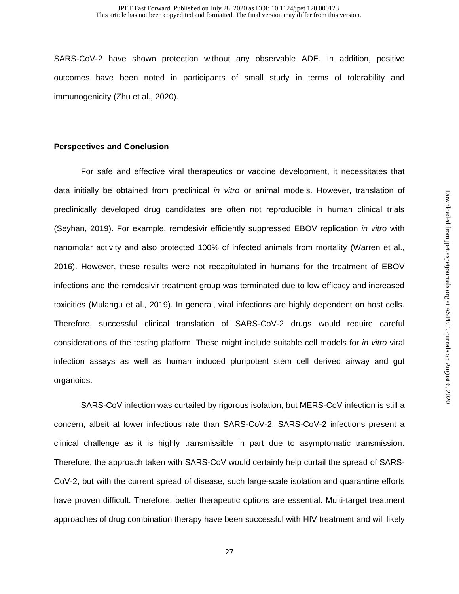SARS-CoV-2 have shown protection without any observable ADE. In addition, positive outcomes have been noted in participants of small study in terms of tolerability and immunogenicity (Zhu et al., 2020).

## **Perspectives and Conclusion**

For safe and effective viral therapeutics or vaccine development, it necessitates that data initially be obtained from preclinical *in vitro* or animal models. However, translation of preclinically developed drug candidates are often not reproducible in human clinical trials (Seyhan, 2019). For example, remdesivir efficiently suppressed EBOV replication *in vitro* with nanomolar activity and also protected 100% of infected animals from mortality (Warren et al., 2016). However, these results were not recapitulated in humans for the treatment of EBOV infections and the remdesivir treatment group was terminated due to low efficacy and increased toxicities (Mulangu et al., 2019). In general, viral infections are highly dependent on host cells. Therefore, successful clinical translation of SARS-CoV-2 drugs would require careful considerations of the testing platform. These might include suitable cell models for *in vitro* viral infection assays as well as human induced pluripotent stem cell derived airway and gut organoids.

SARS-CoV infection was curtailed by rigorous isolation, but MERS-CoV infection is still a concern, albeit at lower infectious rate than SARS-CoV-2. SARS-CoV-2 infections present a clinical challenge as it is highly transmissible in part due to asymptomatic transmission. Therefore, the approach taken with SARS-CoV would certainly help curtail the spread of SARS-CoV-2, but with the current spread of disease, such large-scale isolation and quarantine efforts have proven difficult. Therefore, better therapeutic options are essential. Multi-target treatment approaches of drug combination therapy have been successful with HIV treatment and will likely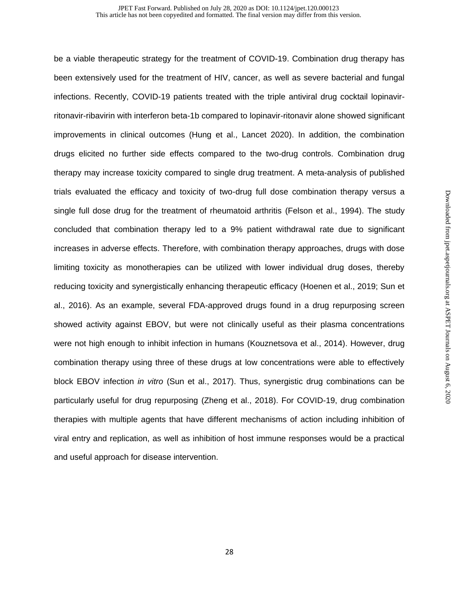be a viable therapeutic strategy for the treatment of COVID-19. Combination drug therapy has been extensively used for the treatment of HIV, cancer, as well as severe bacterial and fungal infections. Recently, COVID-19 patients treated with the triple antiviral drug cocktail lopinavirritonavir-ribavirin with interferon beta-1b compared to lopinavir-ritonavir alone showed significant improvements in clinical outcomes (Hung et al., Lancet 2020). In addition, the combination drugs elicited no further side effects compared to the two-drug controls. Combination drug therapy may increase toxicity compared to single drug treatment. A meta-analysis of published trials evaluated the efficacy and toxicity of two-drug full dose combination therapy versus a single full dose drug for the treatment of rheumatoid arthritis (Felson et al., 1994). The study concluded that combination therapy led to a 9% patient withdrawal rate due to significant increases in adverse effects. Therefore, with combination therapy approaches, drugs with dose limiting toxicity as monotherapies can be utilized with lower individual drug doses, thereby reducing toxicity and synergistically enhancing therapeutic efficacy (Hoenen et al., 2019; Sun et al., 2016). As an example, several FDA-approved drugs found in a drug repurposing screen showed activity against EBOV, but were not clinically useful as their plasma concentrations were not high enough to inhibit infection in humans (Kouznetsova et al., 2014). However, drug combination therapy using three of these drugs at low concentrations were able to effectively block EBOV infection *in vitro* (Sun et al., 2017). Thus, synergistic drug combinations can be particularly useful for drug repurposing (Zheng et al., 2018). For COVID-19, drug combination therapies with multiple agents that have different mechanisms of action including inhibition of viral entry and replication, as well as inhibition of host immune responses would be a practical and useful approach for disease intervention.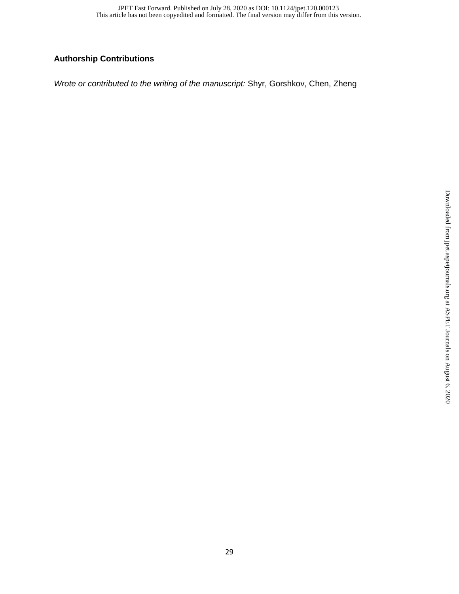## **Authorship Contributions**

*Wrote or contributed to the writing of the manuscript:* Shyr, Gorshkov, Chen, Zheng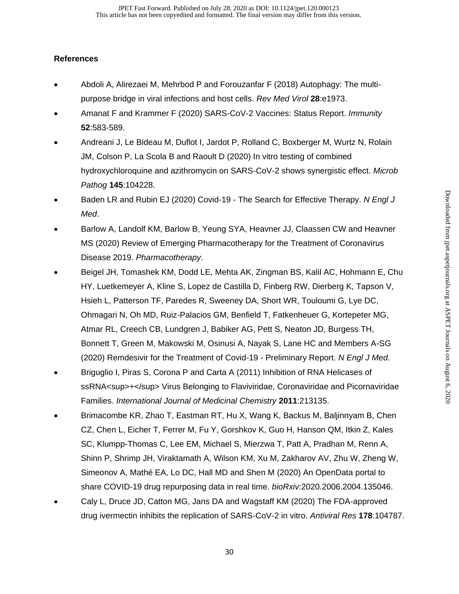## **References**

- Abdoli A, Alirezaei M, Mehrbod P and Forouzanfar F (2018) Autophagy: The multipurpose bridge in viral infections and host cells. *Rev Med Virol* **28**:e1973.
- Amanat F and Krammer F (2020) SARS-CoV-2 Vaccines: Status Report. *Immunity* **52**:583-589.
- Andreani J, Le Bideau M, Duflot I, Jardot P, Rolland C, Boxberger M, Wurtz N, Rolain JM, Colson P, La Scola B and Raoult D (2020) In vitro testing of combined hydroxychloroquine and azithromycin on SARS-CoV-2 shows synergistic effect. *Microb Pathog* **145**:104228.
- Baden LR and Rubin EJ (2020) Covid-19 The Search for Effective Therapy. *N Engl J Med*.
- Barlow A, Landolf KM, Barlow B, Yeung SYA, Heavner JJ, Claassen CW and Heavner MS (2020) Review of Emerging Pharmacotherapy for the Treatment of Coronavirus Disease 2019. *Pharmacotherapy*.
- Beigel JH, Tomashek KM, Dodd LE, Mehta AK, Zingman BS, Kalil AC, Hohmann E, Chu HY, Luetkemeyer A, Kline S, Lopez de Castilla D, Finberg RW, Dierberg K, Tapson V, Hsieh L, Patterson TF, Paredes R, Sweeney DA, Short WR, Touloumi G, Lye DC, Ohmagari N, Oh MD, Ruiz-Palacios GM, Benfield T, Fatkenheuer G, Kortepeter MG, Atmar RL, Creech CB, Lundgren J, Babiker AG, Pett S, Neaton JD, Burgess TH, Bonnett T, Green M, Makowski M, Osinusi A, Nayak S, Lane HC and Members A-SG (2020) Remdesivir for the Treatment of Covid-19 - Preliminary Report. *N Engl J Med*.
- Briguglio I, Piras S, Corona P and Carta A (2011) Inhibition of RNA Helicases of ssRNA<sup>+</sup> Virus Belonging to Flaviviridae, Coronaviridae and Picornaviridae Families. *International Journal of Medicinal Chemistry* **2011**:213135.
- Brimacombe KR, Zhao T, Eastman RT, Hu X, Wang K, Backus M, Baljinnyam B, Chen CZ, Chen L, Eicher T, Ferrer M, Fu Y, Gorshkov K, Guo H, Hanson QM, Itkin Z, Kales SC, Klumpp-Thomas C, Lee EM, Michael S, Mierzwa T, Patt A, Pradhan M, Renn A, Shinn P, Shrimp JH, Viraktamath A, Wilson KM, Xu M, Zakharov AV, Zhu W, Zheng W, Simeonov A, Mathé EA, Lo DC, Hall MD and Shen M (2020) An OpenData portal to share COVID-19 drug repurposing data in real time. *bioRxiv*:2020.2006.2004.135046.
- Caly L, Druce JD, Catton MG, Jans DA and Wagstaff KM (2020) The FDA-approved drug ivermectin inhibits the replication of SARS-CoV-2 in vitro. *Antiviral Res* **178**:104787.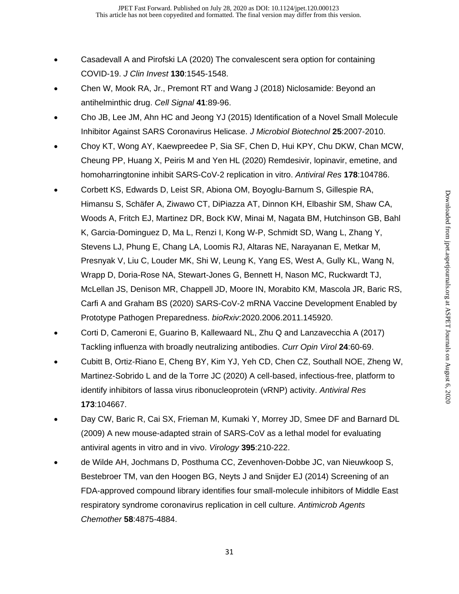- Casadevall A and Pirofski LA (2020) The convalescent sera option for containing COVID-19. *J Clin Invest* **130**:1545-1548.
- Chen W, Mook RA, Jr., Premont RT and Wang J (2018) Niclosamide: Beyond an antihelminthic drug. *Cell Signal* **41**:89-96.
- Cho JB, Lee JM, Ahn HC and Jeong YJ (2015) Identification of a Novel Small Molecule Inhibitor Against SARS Coronavirus Helicase. *J Microbiol Biotechnol* **25**:2007-2010.
- Choy KT, Wong AY, Kaewpreedee P, Sia SF, Chen D, Hui KPY, Chu DKW, Chan MCW, Cheung PP, Huang X, Peiris M and Yen HL (2020) Remdesivir, lopinavir, emetine, and homoharringtonine inhibit SARS-CoV-2 replication in vitro. *Antiviral Res* **178**:104786.
- Corbett KS, Edwards D, Leist SR, Abiona OM, Boyoglu-Barnum S, Gillespie RA, Himansu S, Schäfer A, Ziwawo CT, DiPiazza AT, Dinnon KH, Elbashir SM, Shaw CA, Woods A, Fritch EJ, Martinez DR, Bock KW, Minai M, Nagata BM, Hutchinson GB, Bahl K, Garcia-Dominguez D, Ma L, Renzi I, Kong W-P, Schmidt SD, Wang L, Zhang Y, Stevens LJ, Phung E, Chang LA, Loomis RJ, Altaras NE, Narayanan E, Metkar M, Presnyak V, Liu C, Louder MK, Shi W, Leung K, Yang ES, West A, Gully KL, Wang N, Wrapp D, Doria-Rose NA, Stewart-Jones G, Bennett H, Nason MC, Ruckwardt TJ, McLellan JS, Denison MR, Chappell JD, Moore IN, Morabito KM, Mascola JR, Baric RS, Carfi A and Graham BS (2020) SARS-CoV-2 mRNA Vaccine Development Enabled by Prototype Pathogen Preparedness. *bioRxiv*:2020.2006.2011.145920.
- Corti D, Cameroni E, Guarino B, Kallewaard NL, Zhu Q and Lanzavecchia A (2017) Tackling influenza with broadly neutralizing antibodies. *Curr Opin Virol* **24**:60-69.
- Cubitt B, Ortiz-Riano E, Cheng BY, Kim YJ, Yeh CD, Chen CZ, Southall NOE, Zheng W, Martinez-Sobrido L and de la Torre JC (2020) A cell-based, infectious-free, platform to identify inhibitors of lassa virus ribonucleoprotein (vRNP) activity. *Antiviral Res* **173**:104667.
- Day CW, Baric R, Cai SX, Frieman M, Kumaki Y, Morrey JD, Smee DF and Barnard DL (2009) A new mouse-adapted strain of SARS-CoV as a lethal model for evaluating antiviral agents in vitro and in vivo. *Virology* **395**:210-222.
- de Wilde AH, Jochmans D, Posthuma CC, Zevenhoven-Dobbe JC, van Nieuwkoop S, Bestebroer TM, van den Hoogen BG, Neyts J and Snijder EJ (2014) Screening of an FDA-approved compound library identifies four small-molecule inhibitors of Middle East respiratory syndrome coronavirus replication in cell culture. *Antimicrob Agents Chemother* **58**:4875-4884.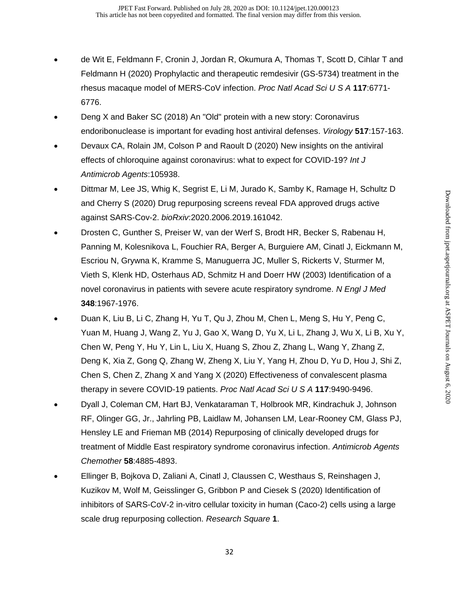- de Wit E, Feldmann F, Cronin J, Jordan R, Okumura A, Thomas T, Scott D, Cihlar T and Feldmann H (2020) Prophylactic and therapeutic remdesivir (GS-5734) treatment in the rhesus macaque model of MERS-CoV infection. *Proc Natl Acad Sci U S A* **117**:6771- 6776.
- Deng X and Baker SC (2018) An "Old" protein with a new story: Coronavirus endoribonuclease is important for evading host antiviral defenses. *Virology* **517**:157-163.
- Devaux CA, Rolain JM, Colson P and Raoult D (2020) New insights on the antiviral effects of chloroquine against coronavirus: what to expect for COVID-19? *Int J Antimicrob Agents*:105938.
- Dittmar M, Lee JS, Whig K, Segrist E, Li M, Jurado K, Samby K, Ramage H, Schultz D and Cherry S (2020) Drug repurposing screens reveal FDA approved drugs active against SARS-Cov-2. *bioRxiv*:2020.2006.2019.161042.
- Drosten C, Gunther S, Preiser W, van der Werf S, Brodt HR, Becker S, Rabenau H, Panning M, Kolesnikova L, Fouchier RA, Berger A, Burguiere AM, Cinatl J, Eickmann M, Escriou N, Grywna K, Kramme S, Manuguerra JC, Muller S, Rickerts V, Sturmer M, Vieth S, Klenk HD, Osterhaus AD, Schmitz H and Doerr HW (2003) Identification of a novel coronavirus in patients with severe acute respiratory syndrome. *N Engl J Med* **348**:1967-1976.
- Duan K, Liu B, Li C, Zhang H, Yu T, Qu J, Zhou M, Chen L, Meng S, Hu Y, Peng C, Yuan M, Huang J, Wang Z, Yu J, Gao X, Wang D, Yu X, Li L, Zhang J, Wu X, Li B, Xu Y, Chen W, Peng Y, Hu Y, Lin L, Liu X, Huang S, Zhou Z, Zhang L, Wang Y, Zhang Z, Deng K, Xia Z, Gong Q, Zhang W, Zheng X, Liu Y, Yang H, Zhou D, Yu D, Hou J, Shi Z, Chen S, Chen Z, Zhang X and Yang X (2020) Effectiveness of convalescent plasma therapy in severe COVID-19 patients. *Proc Natl Acad Sci U S A* **117**:9490-9496.
- Dyall J, Coleman CM, Hart BJ, Venkataraman T, Holbrook MR, Kindrachuk J, Johnson RF, Olinger GG, Jr., Jahrling PB, Laidlaw M, Johansen LM, Lear-Rooney CM, Glass PJ, Hensley LE and Frieman MB (2014) Repurposing of clinically developed drugs for treatment of Middle East respiratory syndrome coronavirus infection. *Antimicrob Agents Chemother* **58**:4885-4893.
- Ellinger B, Bojkova D, Zaliani A, Cinatl J, Claussen C, Westhaus S, Reinshagen J, Kuzikov M, Wolf M, Geisslinger G, Gribbon P and Ciesek S (2020) Identification of inhibitors of SARS-CoV-2 in-vitro cellular toxicity in human (Caco-2) cells using a large scale drug repurposing collection. *Research Square* **1**.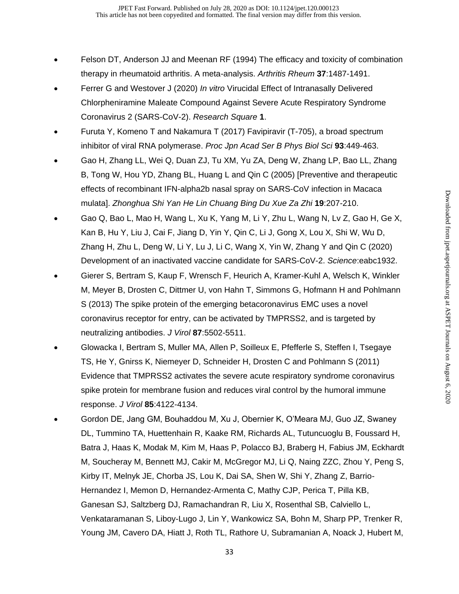- Felson DT, Anderson JJ and Meenan RF (1994) The efficacy and toxicity of combination therapy in rheumatoid arthritis. A meta-analysis. *Arthritis Rheum* **37**:1487-1491.
- Ferrer G and Westover J (2020) *In vitro* Virucidal Effect of Intranasally Delivered Chlorpheniramine Maleate Compound Against Severe Acute Respiratory Syndrome Coronavirus 2 (SARS-CoV-2). *Research Square* **1**.
- Furuta Y, Komeno T and Nakamura T (2017) Favipiravir (T-705), a broad spectrum inhibitor of viral RNA polymerase. *Proc Jpn Acad Ser B Phys Biol Sci* **93**:449-463.
- Gao H, Zhang LL, Wei Q, Duan ZJ, Tu XM, Yu ZA, Deng W, Zhang LP, Bao LL, Zhang B, Tong W, Hou YD, Zhang BL, Huang L and Qin C (2005) [Preventive and therapeutic effects of recombinant IFN-alpha2b nasal spray on SARS-CoV infection in Macaca mulata]. *Zhonghua Shi Yan He Lin Chuang Bing Du Xue Za Zhi* **19**:207-210.
- Gao Q, Bao L, Mao H, Wang L, Xu K, Yang M, Li Y, Zhu L, Wang N, Lv Z, Gao H, Ge X, Kan B, Hu Y, Liu J, Cai F, Jiang D, Yin Y, Qin C, Li J, Gong X, Lou X, Shi W, Wu D, Zhang H, Zhu L, Deng W, Li Y, Lu J, Li C, Wang X, Yin W, Zhang Y and Qin C (2020) Development of an inactivated vaccine candidate for SARS-CoV-2. *Science*:eabc1932.
- Gierer S, Bertram S, Kaup F, Wrensch F, Heurich A, Kramer-Kuhl A, Welsch K, Winkler M, Meyer B, Drosten C, Dittmer U, von Hahn T, Simmons G, Hofmann H and Pohlmann S (2013) The spike protein of the emerging betacoronavirus EMC uses a novel coronavirus receptor for entry, can be activated by TMPRSS2, and is targeted by neutralizing antibodies. *J Virol* **87**:5502-5511.
- Glowacka I, Bertram S, Muller MA, Allen P, Soilleux E, Pfefferle S, Steffen I, Tsegaye TS, He Y, Gnirss K, Niemeyer D, Schneider H, Drosten C and Pohlmann S (2011) Evidence that TMPRSS2 activates the severe acute respiratory syndrome coronavirus spike protein for membrane fusion and reduces viral control by the humoral immune response. *J Virol* **85**:4122-4134.
- Gordon DE, Jang GM, Bouhaddou M, Xu J, Obernier K, O'Meara MJ, Guo JZ, Swaney DL, Tummino TA, Huettenhain R, Kaake RM, Richards AL, Tutuncuoglu B, Foussard H, Batra J, Haas K, Modak M, Kim M, Haas P, Polacco BJ, Braberg H, Fabius JM, Eckhardt M, Soucheray M, Bennett MJ, Cakir M, McGregor MJ, Li Q, Naing ZZC, Zhou Y, Peng S, Kirby IT, Melnyk JE, Chorba JS, Lou K, Dai SA, Shen W, Shi Y, Zhang Z, Barrio-Hernandez I, Memon D, Hernandez-Armenta C, Mathy CJP, Perica T, Pilla KB, Ganesan SJ, Saltzberg DJ, Ramachandran R, Liu X, Rosenthal SB, Calviello L, Venkataramanan S, Liboy-Lugo J, Lin Y, Wankowicz SA, Bohn M, Sharp PP, Trenker R, Young JM, Cavero DA, Hiatt J, Roth TL, Rathore U, Subramanian A, Noack J, Hubert M,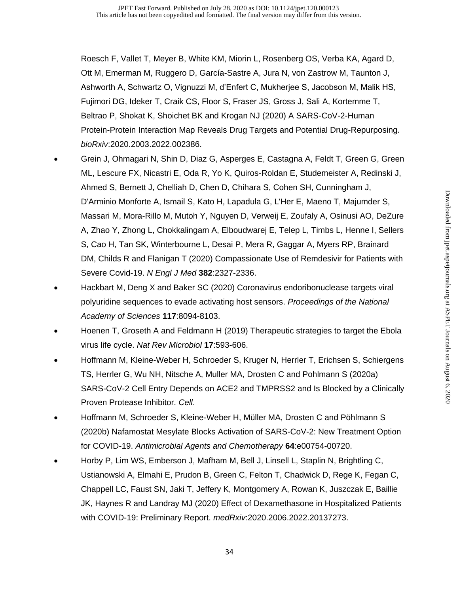Roesch F, Vallet T, Meyer B, White KM, Miorin L, Rosenberg OS, Verba KA, Agard D, Ott M, Emerman M, Ruggero D, García-Sastre A, Jura N, von Zastrow M, Taunton J, Ashworth A, Schwartz O, Vignuzzi M, d'Enfert C, Mukherjee S, Jacobson M, Malik HS, Fujimori DG, Ideker T, Craik CS, Floor S, Fraser JS, Gross J, Sali A, Kortemme T, Beltrao P, Shokat K, Shoichet BK and Krogan NJ (2020) A SARS-CoV-2-Human Protein-Protein Interaction Map Reveals Drug Targets and Potential Drug-Repurposing. *bioRxiv*:2020.2003.2022.002386.

- Grein J, Ohmagari N, Shin D, Diaz G, Asperges E, Castagna A, Feldt T, Green G, Green ML, Lescure FX, Nicastri E, Oda R, Yo K, Quiros-Roldan E, Studemeister A, Redinski J, Ahmed S, Bernett J, Chelliah D, Chen D, Chihara S, Cohen SH, Cunningham J, D'Arminio Monforte A, Ismail S, Kato H, Lapadula G, L'Her E, Maeno T, Majumder S, Massari M, Mora-Rillo M, Mutoh Y, Nguyen D, Verweij E, Zoufaly A, Osinusi AO, DeZure A, Zhao Y, Zhong L, Chokkalingam A, Elboudwarej E, Telep L, Timbs L, Henne I, Sellers S, Cao H, Tan SK, Winterbourne L, Desai P, Mera R, Gaggar A, Myers RP, Brainard DM, Childs R and Flanigan T (2020) Compassionate Use of Remdesivir for Patients with Severe Covid-19. *N Engl J Med* **382**:2327-2336.
- Hackbart M, Deng X and Baker SC (2020) Coronavirus endoribonuclease targets viral polyuridine sequences to evade activating host sensors. *Proceedings of the National Academy of Sciences* **117**:8094-8103.
- Hoenen T, Groseth A and Feldmann H (2019) Therapeutic strategies to target the Ebola virus life cycle. *Nat Rev Microbiol* **17**:593-606.
- Hoffmann M, Kleine-Weber H, Schroeder S, Kruger N, Herrler T, Erichsen S, Schiergens TS, Herrler G, Wu NH, Nitsche A, Muller MA, Drosten C and Pohlmann S (2020a) SARS-CoV-2 Cell Entry Depends on ACE2 and TMPRSS2 and Is Blocked by a Clinically Proven Protease Inhibitor. *Cell*.
- Hoffmann M, Schroeder S, Kleine-Weber H, Müller MA, Drosten C and Pöhlmann S (2020b) Nafamostat Mesylate Blocks Activation of SARS-CoV-2: New Treatment Option for COVID-19. *Antimicrobial Agents and Chemotherapy* **64**:e00754-00720.
- Horby P, Lim WS, Emberson J, Mafham M, Bell J, Linsell L, Staplin N, Brightling C, Ustianowski A, Elmahi E, Prudon B, Green C, Felton T, Chadwick D, Rege K, Fegan C, Chappell LC, Faust SN, Jaki T, Jeffery K, Montgomery A, Rowan K, Juszczak E, Baillie JK, Haynes R and Landray MJ (2020) Effect of Dexamethasone in Hospitalized Patients with COVID-19: Preliminary Report. *medRxiv*:2020.2006.2022.20137273.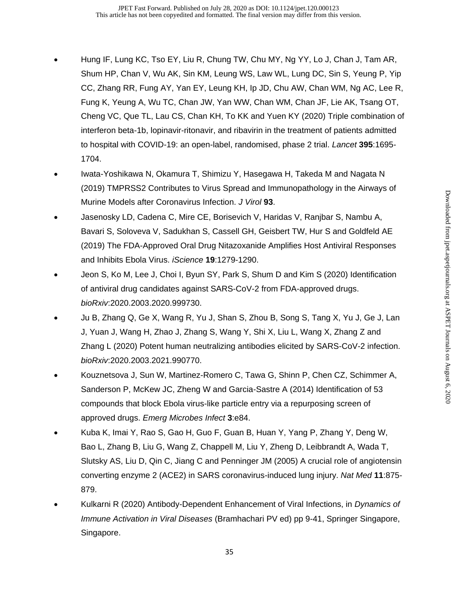- Hung IF, Lung KC, Tso EY, Liu R, Chung TW, Chu MY, Ng YY, Lo J, Chan J, Tam AR, Shum HP, Chan V, Wu AK, Sin KM, Leung WS, Law WL, Lung DC, Sin S, Yeung P, Yip CC, Zhang RR, Fung AY, Yan EY, Leung KH, Ip JD, Chu AW, Chan WM, Ng AC, Lee R, Fung K, Yeung A, Wu TC, Chan JW, Yan WW, Chan WM, Chan JF, Lie AK, Tsang OT, Cheng VC, Que TL, Lau CS, Chan KH, To KK and Yuen KY (2020) Triple combination of interferon beta-1b, lopinavir-ritonavir, and ribavirin in the treatment of patients admitted to hospital with COVID-19: an open-label, randomised, phase 2 trial. *Lancet* **395**:1695- 1704.
- Iwata-Yoshikawa N, Okamura T, Shimizu Y, Hasegawa H, Takeda M and Nagata N (2019) TMPRSS2 Contributes to Virus Spread and Immunopathology in the Airways of Murine Models after Coronavirus Infection. *J Virol* **93**.
- Jasenosky LD, Cadena C, Mire CE, Borisevich V, Haridas V, Ranjbar S, Nambu A, Bavari S, Soloveva V, Sadukhan S, Cassell GH, Geisbert TW, Hur S and Goldfeld AE (2019) The FDA-Approved Oral Drug Nitazoxanide Amplifies Host Antiviral Responses and Inhibits Ebola Virus. *iScience* **19**:1279-1290.
- Jeon S, Ko M, Lee J, Choi I, Byun SY, Park S, Shum D and Kim S (2020) Identification of antiviral drug candidates against SARS-CoV-2 from FDA-approved drugs. *bioRxiv*:2020.2003.2020.999730.
- Ju B, Zhang Q, Ge X, Wang R, Yu J, Shan S, Zhou B, Song S, Tang X, Yu J, Ge J, Lan J, Yuan J, Wang H, Zhao J, Zhang S, Wang Y, Shi X, Liu L, Wang X, Zhang Z and Zhang L (2020) Potent human neutralizing antibodies elicited by SARS-CoV-2 infection. *bioRxiv*:2020.2003.2021.990770.
- Kouznetsova J, Sun W, Martinez-Romero C, Tawa G, Shinn P, Chen CZ, Schimmer A, Sanderson P, McKew JC, Zheng W and Garcia-Sastre A (2014) Identification of 53 compounds that block Ebola virus-like particle entry via a repurposing screen of approved drugs. *Emerg Microbes Infect* **3**:e84.
- Kuba K, Imai Y, Rao S, Gao H, Guo F, Guan B, Huan Y, Yang P, Zhang Y, Deng W, Bao L, Zhang B, Liu G, Wang Z, Chappell M, Liu Y, Zheng D, Leibbrandt A, Wada T, Slutsky AS, Liu D, Qin C, Jiang C and Penninger JM (2005) A crucial role of angiotensin converting enzyme 2 (ACE2) in SARS coronavirus-induced lung injury. *Nat Med* **11**:875- 879.
- Kulkarni R (2020) Antibody-Dependent Enhancement of Viral Infections, in *Dynamics of Immune Activation in Viral Diseases* (Bramhachari PV ed) pp 9-41, Springer Singapore, Singapore.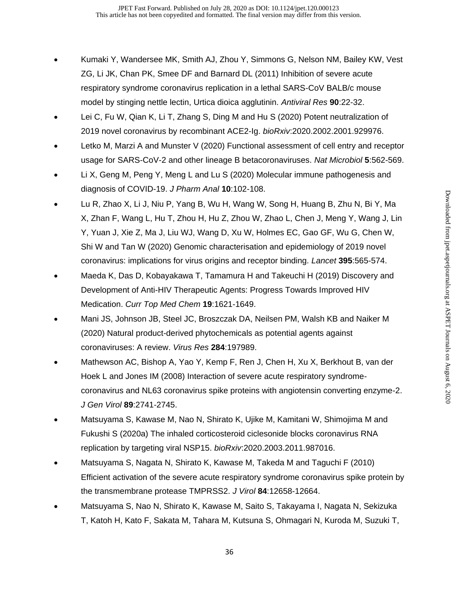- Kumaki Y, Wandersee MK, Smith AJ, Zhou Y, Simmons G, Nelson NM, Bailey KW, Vest ZG, Li JK, Chan PK, Smee DF and Barnard DL (2011) Inhibition of severe acute respiratory syndrome coronavirus replication in a lethal SARS-CoV BALB/c mouse model by stinging nettle lectin, Urtica dioica agglutinin. *Antiviral Res* **90**:22-32.
- Lei C, Fu W, Qian K, Li T, Zhang S, Ding M and Hu S (2020) Potent neutralization of 2019 novel coronavirus by recombinant ACE2-Ig. *bioRxiv*:2020.2002.2001.929976.
- Letko M, Marzi A and Munster V (2020) Functional assessment of cell entry and receptor usage for SARS-CoV-2 and other lineage B betacoronaviruses. *Nat Microbiol* **5**:562-569.
- Li X, Geng M, Peng Y, Meng L and Lu S (2020) Molecular immune pathogenesis and diagnosis of COVID-19. *J Pharm Anal* **10**:102-108.
- Lu R, Zhao X, Li J, Niu P, Yang B, Wu H, Wang W, Song H, Huang B, Zhu N, Bi Y, Ma X, Zhan F, Wang L, Hu T, Zhou H, Hu Z, Zhou W, Zhao L, Chen J, Meng Y, Wang J, Lin Y, Yuan J, Xie Z, Ma J, Liu WJ, Wang D, Xu W, Holmes EC, Gao GF, Wu G, Chen W, Shi W and Tan W (2020) Genomic characterisation and epidemiology of 2019 novel coronavirus: implications for virus origins and receptor binding. *Lancet* **395**:565-574.
- Maeda K, Das D, Kobayakawa T, Tamamura H and Takeuchi H (2019) Discovery and Development of Anti-HIV Therapeutic Agents: Progress Towards Improved HIV Medication. *Curr Top Med Chem* **19**:1621-1649.
- Mani JS, Johnson JB, Steel JC, Broszczak DA, Neilsen PM, Walsh KB and Naiker M (2020) Natural product-derived phytochemicals as potential agents against coronaviruses: A review. *Virus Res* **284**:197989.
- Mathewson AC, Bishop A, Yao Y, Kemp F, Ren J, Chen H, Xu X, Berkhout B, van der Hoek L and Jones IM (2008) Interaction of severe acute respiratory syndromecoronavirus and NL63 coronavirus spike proteins with angiotensin converting enzyme-2. *J Gen Virol* **89**:2741-2745.
- Matsuyama S, Kawase M, Nao N, Shirato K, Ujike M, Kamitani W, Shimojima M and Fukushi S (2020a) The inhaled corticosteroid ciclesonide blocks coronavirus RNA replication by targeting viral NSP15. *bioRxiv*:2020.2003.2011.987016.
- Matsuyama S, Nagata N, Shirato K, Kawase M, Takeda M and Taguchi F (2010) Efficient activation of the severe acute respiratory syndrome coronavirus spike protein by the transmembrane protease TMPRSS2. *J Virol* **84**:12658-12664.
- Matsuyama S, Nao N, Shirato K, Kawase M, Saito S, Takayama I, Nagata N, Sekizuka T, Katoh H, Kato F, Sakata M, Tahara M, Kutsuna S, Ohmagari N, Kuroda M, Suzuki T,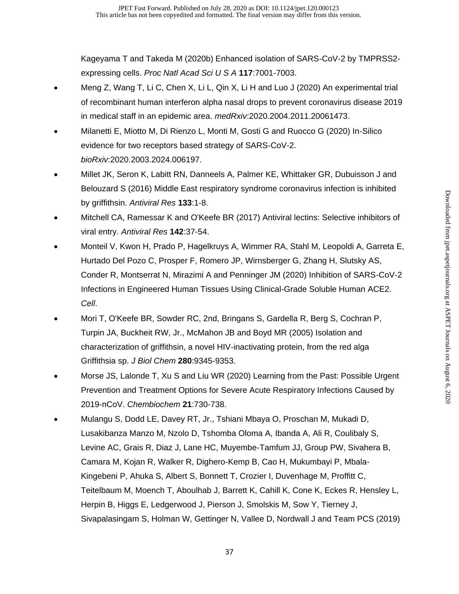Kageyama T and Takeda M (2020b) Enhanced isolation of SARS-CoV-2 by TMPRSS2 expressing cells. *Proc Natl Acad Sci U S A* **117**:7001-7003.

- Meng Z, Wang T, Li C, Chen X, Li L, Qin X, Li H and Luo J (2020) An experimental trial of recombinant human interferon alpha nasal drops to prevent coronavirus disease 2019 in medical staff in an epidemic area. *medRxiv*:2020.2004.2011.20061473.
- Milanetti E, Miotto M, Di Rienzo L, Monti M, Gosti G and Ruocco G (2020) In-Silico evidence for two receptors based strategy of SARS-CoV-2. *bioRxiv*:2020.2003.2024.006197.
- Millet JK, Seron K, Labitt RN, Danneels A, Palmer KE, Whittaker GR, Dubuisson J and Belouzard S (2016) Middle East respiratory syndrome coronavirus infection is inhibited by griffithsin. *Antiviral Res* **133**:1-8.
- Mitchell CA, Ramessar K and O'Keefe BR (2017) Antiviral lectins: Selective inhibitors of viral entry. *Antiviral Res* **142**:37-54.
- Monteil V, Kwon H, Prado P, Hagelkruys A, Wimmer RA, Stahl M, Leopoldi A, Garreta E, Hurtado Del Pozo C, Prosper F, Romero JP, Wirnsberger G, Zhang H, Slutsky AS, Conder R, Montserrat N, Mirazimi A and Penninger JM (2020) Inhibition of SARS-CoV-2 Infections in Engineered Human Tissues Using Clinical-Grade Soluble Human ACE2. *Cell*.
- Mori T, O'Keefe BR, Sowder RC, 2nd, Bringans S, Gardella R, Berg S, Cochran P, Turpin JA, Buckheit RW, Jr., McMahon JB and Boyd MR (2005) Isolation and characterization of griffithsin, a novel HIV-inactivating protein, from the red alga Griffithsia sp. *J Biol Chem* **280**:9345-9353.
- Morse JS, Lalonde T, Xu S and Liu WR (2020) Learning from the Past: Possible Urgent Prevention and Treatment Options for Severe Acute Respiratory Infections Caused by 2019-nCoV. *Chembiochem* **21**:730-738.
- Mulangu S, Dodd LE, Davey RT, Jr., Tshiani Mbaya O, Proschan M, Mukadi D, Lusakibanza Manzo M, Nzolo D, Tshomba Oloma A, Ibanda A, Ali R, Coulibaly S, Levine AC, Grais R, Diaz J, Lane HC, Muyembe-Tamfum JJ, Group PW, Sivahera B, Camara M, Kojan R, Walker R, Dighero-Kemp B, Cao H, Mukumbayi P, Mbala-Kingebeni P, Ahuka S, Albert S, Bonnett T, Crozier I, Duvenhage M, Proffitt C, Teitelbaum M, Moench T, Aboulhab J, Barrett K, Cahill K, Cone K, Eckes R, Hensley L, Herpin B, Higgs E, Ledgerwood J, Pierson J, Smolskis M, Sow Y, Tierney J, Sivapalasingam S, Holman W, Gettinger N, Vallee D, Nordwall J and Team PCS (2019)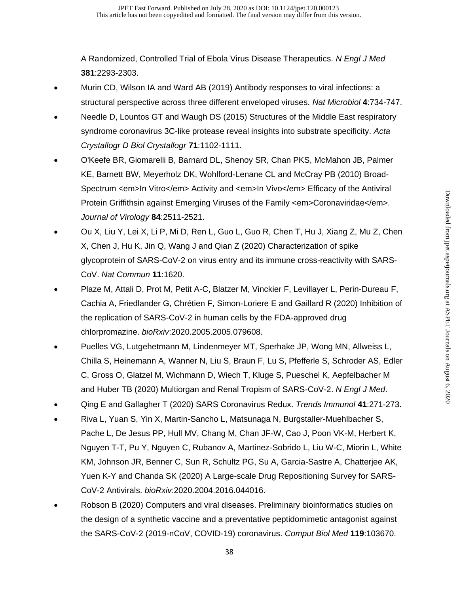A Randomized, Controlled Trial of Ebola Virus Disease Therapeutics. *N Engl J Med* **381**:2293-2303.

- Murin CD, Wilson IA and Ward AB (2019) Antibody responses to viral infections: a structural perspective across three different enveloped viruses. *Nat Microbiol* **4**:734-747.
- Needle D, Lountos GT and Waugh DS (2015) Structures of the Middle East respiratory syndrome coronavirus 3C-like protease reveal insights into substrate specificity. *Acta Crystallogr D Biol Crystallogr* **71**:1102-1111.
- O'Keefe BR, Giomarelli B, Barnard DL, Shenoy SR, Chan PKS, McMahon JB, Palmer KE, Barnett BW, Meyerholz DK, Wohlford-Lenane CL and McCray PB (2010) Broad-Spectrum <em>In Vitro</em> Activity and <em>In Vivo</em> Efficacy of the Antiviral Protein Griffithsin against Emerging Viruses of the Family <em>Coronaviridae</em>. *Journal of Virology* **84**:2511-2521.
- Ou X, Liu Y, Lei X, Li P, Mi D, Ren L, Guo L, Guo R, Chen T, Hu J, Xiang Z, Mu Z, Chen X, Chen J, Hu K, Jin Q, Wang J and Qian Z (2020) Characterization of spike glycoprotein of SARS-CoV-2 on virus entry and its immune cross-reactivity with SARS-CoV. *Nat Commun* **11**:1620.
- Plaze M, Attali D, Prot M, Petit A-C, Blatzer M, Vinckier F, Levillayer L, Perin-Dureau F, Cachia A, Friedlander G, Chrétien F, Simon-Loriere E and Gaillard R (2020) Inhibition of the replication of SARS-CoV-2 in human cells by the FDA-approved drug chlorpromazine. *bioRxiv*:2020.2005.2005.079608.
- Puelles VG, Lutgehetmann M, Lindenmeyer MT, Sperhake JP, Wong MN, Allweiss L, Chilla S, Heinemann A, Wanner N, Liu S, Braun F, Lu S, Pfefferle S, Schroder AS, Edler C, Gross O, Glatzel M, Wichmann D, Wiech T, Kluge S, Pueschel K, Aepfelbacher M and Huber TB (2020) Multiorgan and Renal Tropism of SARS-CoV-2. *N Engl J Med*.
- Qing E and Gallagher T (2020) SARS Coronavirus Redux. *Trends Immunol* **41**:271-273.
- Riva L, Yuan S, Yin X, Martin-Sancho L, Matsunaga N, Burgstaller-Muehlbacher S, Pache L, De Jesus PP, Hull MV, Chang M, Chan JF-W, Cao J, Poon VK-M, Herbert K, Nguyen T-T, Pu Y, Nguyen C, Rubanov A, Martinez-Sobrido L, Liu W-C, Miorin L, White KM, Johnson JR, Benner C, Sun R, Schultz PG, Su A, Garcia-Sastre A, Chatterjee AK, Yuen K-Y and Chanda SK (2020) A Large-scale Drug Repositioning Survey for SARS-CoV-2 Antivirals. *bioRxiv*:2020.2004.2016.044016.
- Robson B (2020) Computers and viral diseases. Preliminary bioinformatics studies on the design of a synthetic vaccine and a preventative peptidomimetic antagonist against the SARS-CoV-2 (2019-nCoV, COVID-19) coronavirus. *Comput Biol Med* **119**:103670.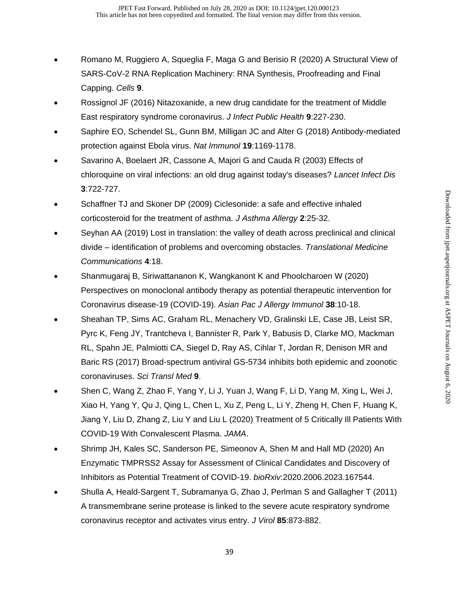- Romano M, Ruggiero A, Squeglia F, Maga G and Berisio R (2020) A Structural View of SARS-CoV-2 RNA Replication Machinery: RNA Synthesis, Proofreading and Final Capping. *Cells* **9**.
- Rossignol JF (2016) Nitazoxanide, a new drug candidate for the treatment of Middle East respiratory syndrome coronavirus. *J Infect Public Health* **9**:227-230.
- Saphire EO, Schendel SL, Gunn BM, Milligan JC and Alter G (2018) Antibody-mediated protection against Ebola virus. *Nat Immunol* **19**:1169-1178.
- Savarino A, Boelaert JR, Cassone A, Majori G and Cauda R (2003) Effects of chloroquine on viral infections: an old drug against today's diseases? *Lancet Infect Dis* **3**:722-727.
- Schaffner TJ and Skoner DP (2009) Ciclesonide: a safe and effective inhaled corticosteroid for the treatment of asthma. *J Asthma Allergy* **2**:25-32.
- Seyhan AA (2019) Lost in translation: the valley of death across preclinical and clinical divide – identification of problems and overcoming obstacles. *Translational Medicine Communications* **4**:18.
- Shanmugaraj B, Siriwattananon K, Wangkanont K and Phoolcharoen W (2020) Perspectives on monoclonal antibody therapy as potential therapeutic intervention for Coronavirus disease-19 (COVID-19). *Asian Pac J Allergy Immunol* **38**:10-18.
- Sheahan TP, Sims AC, Graham RL, Menachery VD, Gralinski LE, Case JB, Leist SR, Pyrc K, Feng JY, Trantcheva I, Bannister R, Park Y, Babusis D, Clarke MO, Mackman RL, Spahn JE, Palmiotti CA, Siegel D, Ray AS, Cihlar T, Jordan R, Denison MR and Baric RS (2017) Broad-spectrum antiviral GS-5734 inhibits both epidemic and zoonotic coronaviruses. *Sci Transl Med* **9**.
- Shen C, Wang Z, Zhao F, Yang Y, Li J, Yuan J, Wang F, Li D, Yang M, Xing L, Wei J, Xiao H, Yang Y, Qu J, Qing L, Chen L, Xu Z, Peng L, Li Y, Zheng H, Chen F, Huang K, Jiang Y, Liu D, Zhang Z, Liu Y and Liu L (2020) Treatment of 5 Critically Ill Patients With COVID-19 With Convalescent Plasma. *JAMA*.
- Shrimp JH, Kales SC, Sanderson PE, Simeonov A, Shen M and Hall MD (2020) An Enzymatic TMPRSS2 Assay for Assessment of Clinical Candidates and Discovery of Inhibitors as Potential Treatment of COVID-19. *bioRxiv*:2020.2006.2023.167544.
- Shulla A, Heald-Sargent T, Subramanya G, Zhao J, Perlman S and Gallagher T (2011) A transmembrane serine protease is linked to the severe acute respiratory syndrome coronavirus receptor and activates virus entry. *J Virol* **85**:873-882.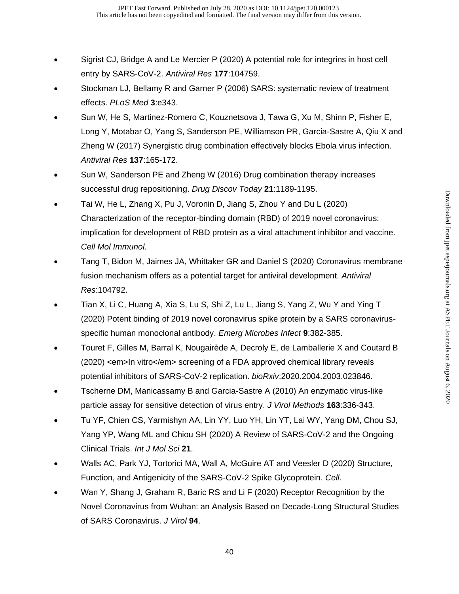- Sigrist CJ, Bridge A and Le Mercier P (2020) A potential role for integrins in host cell entry by SARS-CoV-2. *Antiviral Res* **177**:104759.
- Stockman LJ, Bellamy R and Garner P (2006) SARS: systematic review of treatment effects. *PLoS Med* **3**:e343.
- Sun W, He S, Martinez-Romero C, Kouznetsova J, Tawa G, Xu M, Shinn P, Fisher E, Long Y, Motabar O, Yang S, Sanderson PE, Williamson PR, Garcia-Sastre A, Qiu X and Zheng W (2017) Synergistic drug combination effectively blocks Ebola virus infection. *Antiviral Res* **137**:165-172.
- Sun W, Sanderson PE and Zheng W (2016) Drug combination therapy increases successful drug repositioning. *Drug Discov Today* **21**:1189-1195.
- Tai W, He L, Zhang X, Pu J, Voronin D, Jiang S, Zhou Y and Du L (2020) Characterization of the receptor-binding domain (RBD) of 2019 novel coronavirus: implication for development of RBD protein as a viral attachment inhibitor and vaccine. *Cell Mol Immunol*.
- Tang T, Bidon M, Jaimes JA, Whittaker GR and Daniel S (2020) Coronavirus membrane fusion mechanism offers as a potential target for antiviral development. *Antiviral Res*:104792.
- Tian X, Li C, Huang A, Xia S, Lu S, Shi Z, Lu L, Jiang S, Yang Z, Wu Y and Ying T (2020) Potent binding of 2019 novel coronavirus spike protein by a SARS coronavirusspecific human monoclonal antibody. *Emerg Microbes Infect* **9**:382-385.
- Touret F, Gilles M, Barral K, Nougairède A, Decroly E, de Lamballerie X and Coutard B (2020) <em>In vitro</em> screening of a FDA approved chemical library reveals potential inhibitors of SARS-CoV-2 replication. *bioRxiv*:2020.2004.2003.023846.
- Tscherne DM, Manicassamy B and Garcia-Sastre A (2010) An enzymatic virus-like particle assay for sensitive detection of virus entry. *J Virol Methods* **163**:336-343.
- Tu YF, Chien CS, Yarmishyn AA, Lin YY, Luo YH, Lin YT, Lai WY, Yang DM, Chou SJ, Yang YP, Wang ML and Chiou SH (2020) A Review of SARS-CoV-2 and the Ongoing Clinical Trials. *Int J Mol Sci* **21**.
- Walls AC, Park YJ, Tortorici MA, Wall A, McGuire AT and Veesler D (2020) Structure, Function, and Antigenicity of the SARS-CoV-2 Spike Glycoprotein. *Cell*.
- Wan Y, Shang J, Graham R, Baric RS and Li F (2020) Receptor Recognition by the Novel Coronavirus from Wuhan: an Analysis Based on Decade-Long Structural Studies of SARS Coronavirus. *J Virol* **94**.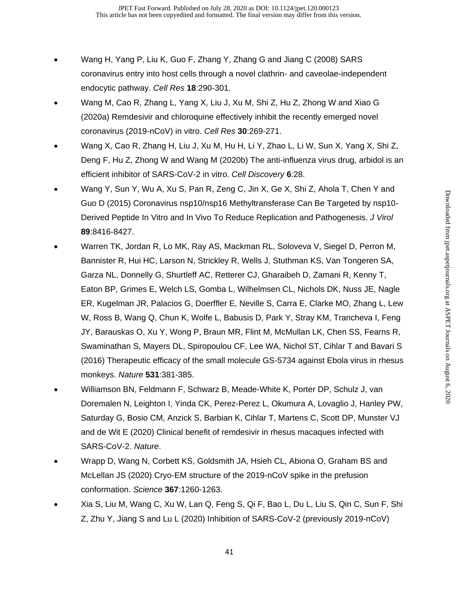- Wang H, Yang P, Liu K, Guo F, Zhang Y, Zhang G and Jiang C (2008) SARS coronavirus entry into host cells through a novel clathrin- and caveolae-independent endocytic pathway. *Cell Res* **18**:290-301.
- Wang M, Cao R, Zhang L, Yang X, Liu J, Xu M, Shi Z, Hu Z, Zhong W and Xiao G (2020a) Remdesivir and chloroquine effectively inhibit the recently emerged novel coronavirus (2019-nCoV) in vitro. *Cell Res* **30**:269-271.
- Wang X, Cao R, Zhang H, Liu J, Xu M, Hu H, Li Y, Zhao L, Li W, Sun X, Yang X, Shi Z, Deng F, Hu Z, Zhong W and Wang M (2020b) The anti-influenza virus drug, arbidol is an efficient inhibitor of SARS-CoV-2 in vitro. *Cell Discovery* **6**:28.
- Wang Y, Sun Y, Wu A, Xu S, Pan R, Zeng C, Jin X, Ge X, Shi Z, Ahola T, Chen Y and Guo D (2015) Coronavirus nsp10/nsp16 Methyltransferase Can Be Targeted by nsp10- Derived Peptide In Vitro and In Vivo To Reduce Replication and Pathogenesis. *J Virol* **89**:8416-8427.
- Warren TK, Jordan R, Lo MK, Ray AS, Mackman RL, Soloveva V, Siegel D, Perron M, Bannister R, Hui HC, Larson N, Strickley R, Wells J, Stuthman KS, Van Tongeren SA, Garza NL, Donnelly G, Shurtleff AC, Retterer CJ, Gharaibeh D, Zamani R, Kenny T, Eaton BP, Grimes E, Welch LS, Gomba L, Wilhelmsen CL, Nichols DK, Nuss JE, Nagle ER, Kugelman JR, Palacios G, Doerffler E, Neville S, Carra E, Clarke MO, Zhang L, Lew W, Ross B, Wang Q, Chun K, Wolfe L, Babusis D, Park Y, Stray KM, Trancheva I, Feng JY, Barauskas O, Xu Y, Wong P, Braun MR, Flint M, McMullan LK, Chen SS, Fearns R, Swaminathan S, Mayers DL, Spiropoulou CF, Lee WA, Nichol ST, Cihlar T and Bavari S (2016) Therapeutic efficacy of the small molecule GS-5734 against Ebola virus in rhesus monkeys. *Nature* **531**:381-385.
- Williamson BN, Feldmann F, Schwarz B, Meade-White K, Porter DP, Schulz J, van Doremalen N, Leighton I, Yinda CK, Perez-Perez L, Okumura A, Lovaglio J, Hanley PW, Saturday G, Bosio CM, Anzick S, Barbian K, Cihlar T, Martens C, Scott DP, Munster VJ and de Wit E (2020) Clinical benefit of remdesivir in rhesus macaques infected with SARS-CoV-2. *Nature*.
- Wrapp D, Wang N, Corbett KS, Goldsmith JA, Hsieh CL, Abiona O, Graham BS and McLellan JS (2020) Cryo-EM structure of the 2019-nCoV spike in the prefusion conformation. *Science* **367**:1260-1263.
- Xia S, Liu M, Wang C, Xu W, Lan Q, Feng S, Qi F, Bao L, Du L, Liu S, Qin C, Sun F, Shi Z, Zhu Y, Jiang S and Lu L (2020) Inhibition of SARS-CoV-2 (previously 2019-nCoV)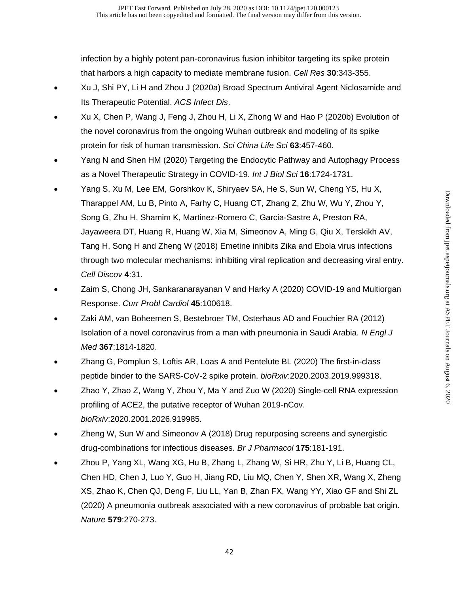infection by a highly potent pan-coronavirus fusion inhibitor targeting its spike protein that harbors a high capacity to mediate membrane fusion. *Cell Res* **30**:343-355.

- Xu J, Shi PY, Li H and Zhou J (2020a) Broad Spectrum Antiviral Agent Niclosamide and Its Therapeutic Potential. *ACS Infect Dis*.
- Xu X, Chen P, Wang J, Feng J, Zhou H, Li X, Zhong W and Hao P (2020b) Evolution of the novel coronavirus from the ongoing Wuhan outbreak and modeling of its spike protein for risk of human transmission. *Sci China Life Sci* **63**:457-460.
- Yang N and Shen HM (2020) Targeting the Endocytic Pathway and Autophagy Process as a Novel Therapeutic Strategy in COVID-19. *Int J Biol Sci* **16**:1724-1731.
- Yang S, Xu M, Lee EM, Gorshkov K, Shiryaev SA, He S, Sun W, Cheng YS, Hu X, Tharappel AM, Lu B, Pinto A, Farhy C, Huang CT, Zhang Z, Zhu W, Wu Y, Zhou Y, Song G, Zhu H, Shamim K, Martinez-Romero C, Garcia-Sastre A, Preston RA, Jayaweera DT, Huang R, Huang W, Xia M, Simeonov A, Ming G, Qiu X, Terskikh AV, Tang H, Song H and Zheng W (2018) Emetine inhibits Zika and Ebola virus infections through two molecular mechanisms: inhibiting viral replication and decreasing viral entry. *Cell Discov* **4**:31.
- Zaim S, Chong JH, Sankaranarayanan V and Harky A (2020) COVID-19 and Multiorgan Response. *Curr Probl Cardiol* **45**:100618.
- Zaki AM, van Boheemen S, Bestebroer TM, Osterhaus AD and Fouchier RA (2012) Isolation of a novel coronavirus from a man with pneumonia in Saudi Arabia. *N Engl J Med* **367**:1814-1820.
- Zhang G, Pomplun S, Loftis AR, Loas A and Pentelute BL (2020) The first-in-class peptide binder to the SARS-CoV-2 spike protein. *bioRxiv*:2020.2003.2019.999318.
- Zhao Y, Zhao Z, Wang Y, Zhou Y, Ma Y and Zuo W (2020) Single-cell RNA expression profiling of ACE2, the putative receptor of Wuhan 2019-nCov. *bioRxiv*:2020.2001.2026.919985.
- Zheng W, Sun W and Simeonov A (2018) Drug repurposing screens and synergistic drug-combinations for infectious diseases. *Br J Pharmacol* **175**:181-191.
- Zhou P, Yang XL, Wang XG, Hu B, Zhang L, Zhang W, Si HR, Zhu Y, Li B, Huang CL, Chen HD, Chen J, Luo Y, Guo H, Jiang RD, Liu MQ, Chen Y, Shen XR, Wang X, Zheng XS, Zhao K, Chen QJ, Deng F, Liu LL, Yan B, Zhan FX, Wang YY, Xiao GF and Shi ZL (2020) A pneumonia outbreak associated with a new coronavirus of probable bat origin. *Nature* **579**:270-273.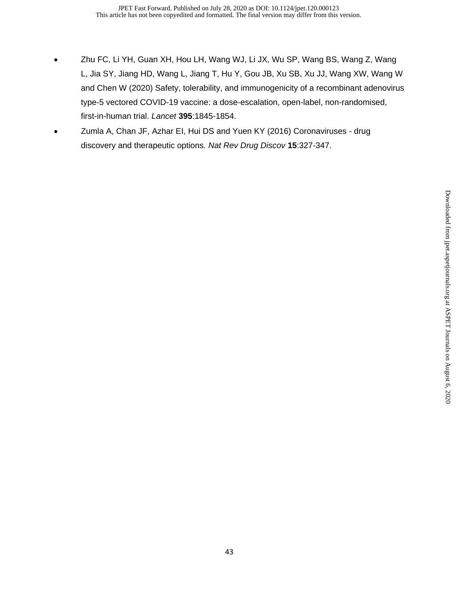- Zhu FC, Li YH, Guan XH, Hou LH, Wang WJ, Li JX, Wu SP, Wang BS, Wang Z, Wang L, Jia SY, Jiang HD, Wang L, Jiang T, Hu Y, Gou JB, Xu SB, Xu JJ, Wang XW, Wang W and Chen W (2020) Safety, tolerability, and immunogenicity of a recombinant adenovirus type-5 vectored COVID-19 vaccine: a dose-escalation, open-label, non-randomised, first-in-human trial. *Lancet* **395**:1845-1854.
- Zumla A, Chan JF, Azhar EI, Hui DS and Yuen KY (2016) Coronaviruses drug discovery and therapeutic options. *Nat Rev Drug Discov* **15**:327-347.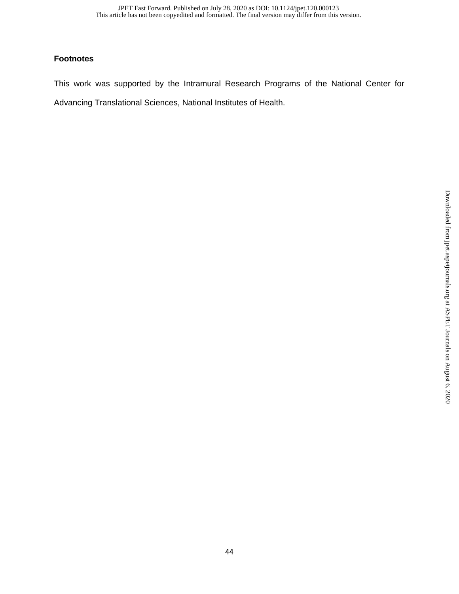## **Footnotes**

This work was supported by the Intramural Research Programs of the National Center for Advancing Translational Sciences, National Institutes of Health.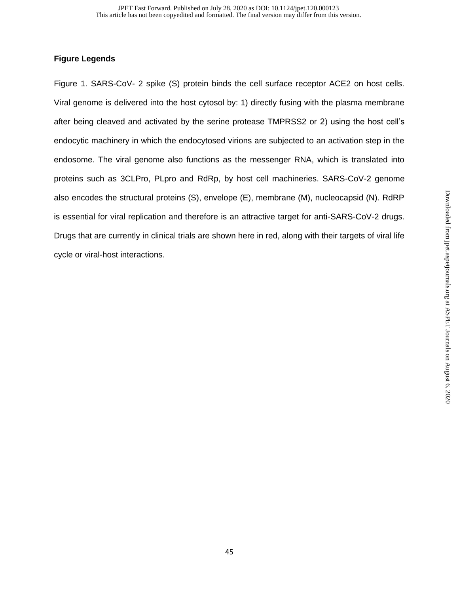## **Figure Legends**

Figure 1. SARS-CoV- 2 spike (S) protein binds the cell surface receptor ACE2 on host cells. Viral genome is delivered into the host cytosol by: 1) directly fusing with the plasma membrane after being cleaved and activated by the serine protease TMPRSS2 or 2) using the host cell's endocytic machinery in which the endocytosed virions are subjected to an activation step in the endosome. The viral genome also functions as the messenger RNA, which is translated into proteins such as 3CLPro, PLpro and RdRp, by host cell machineries. SARS-CoV-2 genome also encodes the structural proteins (S), envelope (E), membrane (M), nucleocapsid (N). RdRP is essential for viral replication and therefore is an attractive target for anti-SARS-CoV-2 drugs. Drugs that are currently in clinical trials are shown here in red, along with their targets of viral life cycle or viral-host interactions.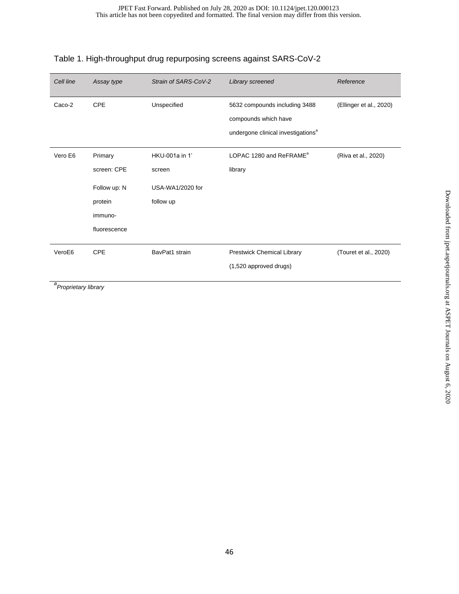| Cell line | Assay type                                                                   | Strain of SARS-CoV-2                                      | Library screened                                                                                        | Reference               |
|-----------|------------------------------------------------------------------------------|-----------------------------------------------------------|---------------------------------------------------------------------------------------------------------|-------------------------|
| Caco-2    | <b>CPE</b>                                                                   | Unspecified                                               | 5632 compounds including 3488<br>compounds which have<br>undergone clinical investigations <sup>a</sup> | (Ellinger et al., 2020) |
| Vero E6   | Primary<br>screen: CPE<br>Follow up: N<br>protein<br>immuno-<br>fluorescence | HKU-001a in 1'<br>screen<br>USA-WA1/2020 for<br>follow up | LOPAC 1280 and ReFRAME <sup>a</sup><br>library                                                          | (Riva et al., 2020)     |
| VeroE6    | <b>CPE</b>                                                                   | BavPat1 strain                                            | Prestwick Chemical Library<br>(1,520 approved drugs)                                                    | (Touret et al., 2020)   |

## Table 1. High-throughput drug repurposing screens against SARS-CoV-2

*a Proprietary library*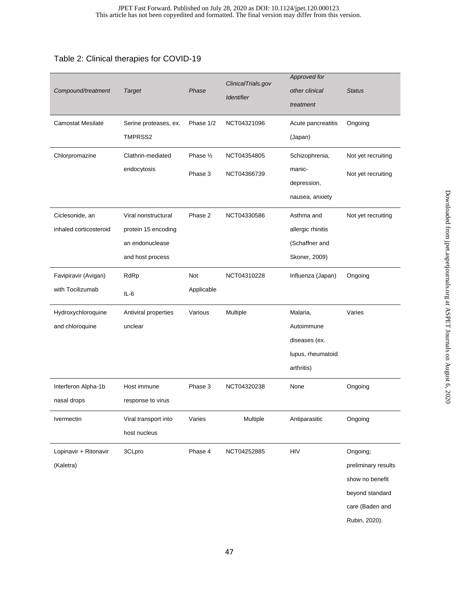## Table 2: Clinical therapies for COVID-19

| Compound/treatment       | <b>Target</b>         | Phase      | ClinicalTrials.gov<br><b>Identifier</b> | Approved for<br>other clinical<br>treatment | <b>Status</b>       |
|--------------------------|-----------------------|------------|-----------------------------------------|---------------------------------------------|---------------------|
| <b>Camostat Mesilate</b> | Serine proteases, ex. | Phase 1/2  | NCT04321096                             | Acute pancreatitis                          | Ongoing             |
|                          | TMPRSS2               |            |                                         | (Japan)                                     |                     |
| Chlorpromazine           | Clathrin-mediated     | Phase 1/2  | NCT04354805                             | Schizophrenia,                              | Not yet recruiting  |
|                          | endocytosis           | Phase 3    | NCT04366739                             | manic-                                      | Not yet recruiting  |
|                          |                       |            |                                         | depression,                                 |                     |
|                          |                       |            |                                         | nausea, anxiety                             |                     |
| Ciclesonide, an          | Viral nonstructural   | Phase 2    | NCT04330586                             | Asthma and                                  | Not yet recruiting  |
| inhaled corticosteroid   | protein 15 encoding   |            |                                         | allergic rhinitis                           |                     |
|                          | an endonuclease       |            |                                         | (Schaffner and                              |                     |
|                          | and host process      |            |                                         | Skoner, 2009)                               |                     |
| Favipiravir (Avigan)     | RdRp                  | Not        | NCT04310228                             | Influenza (Japan)                           | Ongoing             |
| with Tocilizumab         | $IL-6$                | Applicable |                                         |                                             |                     |
| Hydroxychloroquine       | Antiviral properties  | Various    | Multiple                                | Malaria,                                    | Varies              |
| and chloroquine          | unclear               |            |                                         | Autoimmune                                  |                     |
|                          |                       |            |                                         | diseases (ex.                               |                     |
|                          |                       |            |                                         | lupus, rheumatoid                           |                     |
|                          |                       |            |                                         | arthritis)                                  |                     |
| Interferon Alpha-1b      | Host immune           | Phase 3    | NCT04320238                             | None                                        | Ongoing             |
| nasal drops              | response to virus     |            |                                         |                                             |                     |
| Ivermectin               | Viral transport into  | Varies     | Multiple                                | Antiparasitic                               | Ongoing             |
|                          | host nucleus          |            |                                         |                                             |                     |
| Lopinavir + Ritonavir    | 3CLpro                | Phase 4    | NCT04252885                             | <b>HIV</b>                                  | Ongoing;            |
| (Kaletra)                |                       |            |                                         |                                             | preliminary results |
|                          |                       |            |                                         |                                             | show no benefit     |
|                          |                       |            |                                         |                                             | beyond standard     |
|                          |                       |            |                                         |                                             | care (Baden and     |
|                          |                       |            |                                         |                                             | Rubin, 2020).       |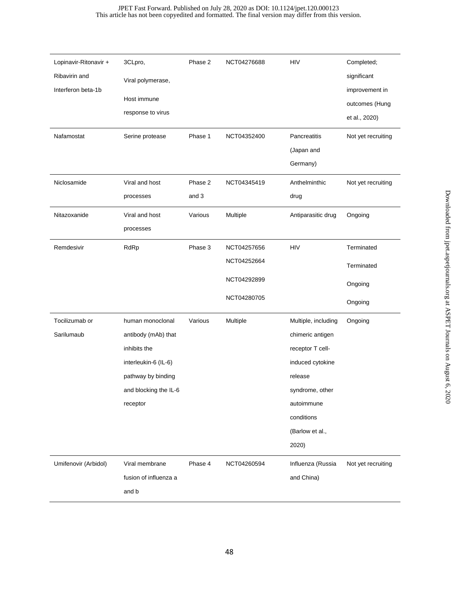| Lopinavir-Ritonavir + | 3CLpro,               | Phase 2 | NCT04276688 | <b>HIV</b>          | Completed;         |
|-----------------------|-----------------------|---------|-------------|---------------------|--------------------|
| Ribavirin and         | Viral polymerase,     |         |             |                     | significant        |
| Interferon beta-1b    |                       |         |             |                     | improvement in     |
|                       | Host immune           |         |             |                     | outcomes (Hung     |
|                       | response to virus     |         |             |                     | et al., 2020)      |
| Nafamostat            | Serine protease       | Phase 1 | NCT04352400 | Pancreatitis        | Not yet recruiting |
|                       |                       |         |             | (Japan and          |                    |
|                       |                       |         |             | Germany)            |                    |
| Niclosamide           | Viral and host        | Phase 2 | NCT04345419 | Anthelminthic       | Not yet recruiting |
|                       | processes             | and 3   |             | drug                |                    |
| Nitazoxanide          | Viral and host        | Various | Multiple    | Antiparasitic drug  | Ongoing            |
|                       | processes             |         |             |                     |                    |
| Remdesivir            | RdRp                  | Phase 3 | NCT04257656 | <b>HIV</b>          | Terminated         |
|                       |                       |         | NCT04252664 |                     | Terminated         |
|                       |                       |         | NCT04292899 |                     | Ongoing            |
|                       |                       |         | NCT04280705 |                     | Ongoing            |
| Tocilizumab or        | human monoclonal      | Various | Multiple    | Multiple, including | Ongoing            |
| Sarilumaub            | antibody (mAb) that   |         |             | chimeric antigen    |                    |
|                       | inhibits the          |         |             | receptor T cell-    |                    |
|                       | interleukin-6 (IL-6)  |         |             | induced cytokine    |                    |
|                       | pathway by binding    |         |             | release             |                    |
|                       | and blocking the IL-6 |         |             | syndrome, other     |                    |
|                       | receptor              |         |             | autoimmune          |                    |
|                       |                       |         |             | conditions          |                    |
|                       |                       |         |             | (Barlow et al.,     |                    |
|                       |                       |         |             | 2020)               |                    |
| Umifenovir (Arbidol)  | Viral membrane        | Phase 4 | NCT04260594 | Influenza (Russia   | Not yet recruiting |
|                       | fusion of influenza a |         |             | and China)          |                    |
|                       | and b                 |         |             |                     |                    |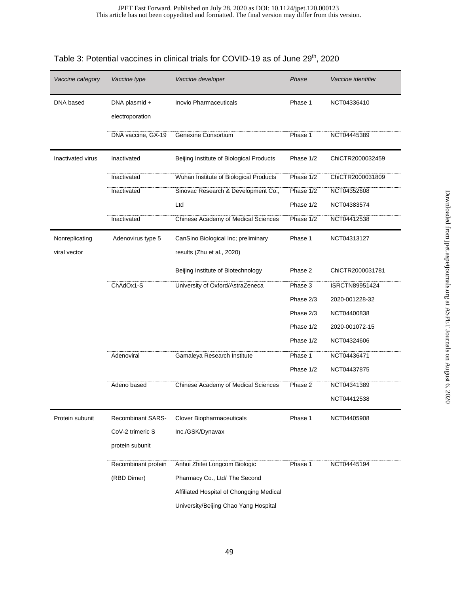| Vaccine category  | Vaccine type             | Vaccine developer                          | Phase     | Vaccine identifier |
|-------------------|--------------------------|--------------------------------------------|-----------|--------------------|
| DNA based         | DNA plasmid +            | <b>Inovio Pharmaceuticals</b>              | Phase 1   | NCT04336410        |
|                   | electroporation          |                                            |           |                    |
|                   | DNA vaccine, GX-19       | Genexine Consortium                        | Phase 1   | NCT04445389        |
| Inactivated virus | Inactivated              | Beijing Institute of Biological Products   | Phase 1/2 | ChiCTR2000032459   |
|                   | Inactivated              | Wuhan Institute of Biological Products     | Phase 1/2 | ChiCTR2000031809   |
|                   | Inactivated              | Sinovac Research & Development Co.,        | Phase 1/2 | NCT04352608        |
|                   |                          | Ltd                                        | Phase 1/2 | NCT04383574        |
|                   | Inactivated              | <b>Chinese Academy of Medical Sciences</b> | Phase 1/2 | NCT04412538        |
| Nonreplicating    | Adenovirus type 5        | CanSino Biological Inc; preliminary        | Phase 1   | NCT04313127        |
| viral vector      |                          | results (Zhu et al., 2020)                 |           |                    |
|                   |                          | Beijing Institute of Biotechnology         | Phase 2   | ChiCTR2000031781   |
|                   | ChAdOx1-S                | University of Oxford/AstraZeneca           | Phase 3   | ISRCTN89951424     |
|                   |                          |                                            | Phase 2/3 | 2020-001228-32     |
|                   |                          |                                            | Phase 2/3 | NCT04400838        |
|                   |                          |                                            | Phase 1/2 | 2020-001072-15     |
|                   |                          |                                            | Phase 1/2 | NCT04324606        |
|                   | Adenoviral               | Gamaleya Research Institute                | Phase 1   | NCT04436471        |
|                   |                          |                                            | Phase 1/2 | NCT04437875        |
|                   | Adeno based              | Chinese Academy of Medical Sciences        | Phase 2   | NCT04341389        |
|                   |                          |                                            |           | NCT04412538        |
| Protein subunit   | <b>Recombinant SARS-</b> | Clover Biopharmaceuticals                  | Phase 1   | NCT04405908        |
|                   | CoV-2 trimeric S         | Inc./GSK/Dynavax                           |           |                    |
|                   | protein subunit          |                                            |           |                    |
|                   | Recombinant protein      | Anhui Zhifei Longcom Biologic              | Phase 1   | NCT04445194        |
|                   | (RBD Dimer)              | Pharmacy Co., Ltd/ The Second              |           |                    |
|                   |                          | Affiliated Hospital of Chongqing Medical   |           |                    |
|                   |                          | University/Beijing Chao Yang Hospital      |           |                    |

# Table 3: Potential vaccines in clinical trials for COVID-19 as of June 29<sup>th</sup>, 2020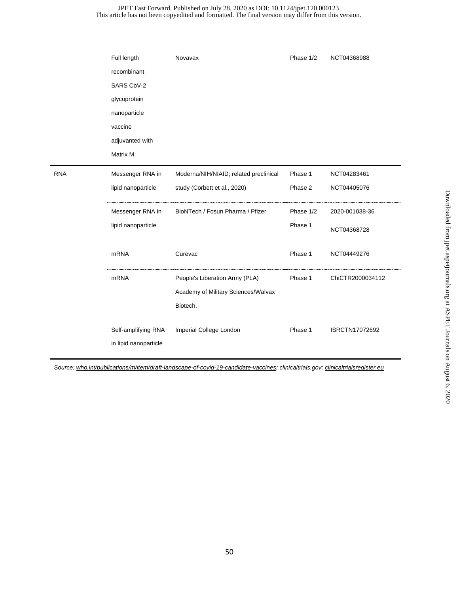#### This article has not been copyedited and formatted. The final version may differ from this version. JPET Fast Forward. Published on July 28, 2020 as DOI: 10.1124/jpet.120.000123

|            | Full length                                  | Novavax                                                                           | Phase 1/2 | NCT04368988      |
|------------|----------------------------------------------|-----------------------------------------------------------------------------------|-----------|------------------|
|            | recombinant                                  |                                                                                   |           |                  |
|            | SARS CoV-2                                   |                                                                                   |           |                  |
|            | glycoprotein                                 |                                                                                   |           |                  |
|            | nanoparticle                                 |                                                                                   |           |                  |
|            | vaccine                                      |                                                                                   |           |                  |
|            | adjuvanted with                              |                                                                                   |           |                  |
|            | Matrix M                                     |                                                                                   |           |                  |
| <b>RNA</b> | Messenger RNA in                             | Moderna/NIH/NIAID; related preclinical                                            | Phase 1   | NCT04283461      |
|            | lipid nanoparticle                           | study (Corbett et al., 2020)                                                      | Phase 2   | NCT04405076      |
|            | Messenger RNA in                             | BioNTech / Fosun Pharma / Pfizer                                                  | Phase 1/2 | 2020-001038-36   |
|            | lipid nanoparticle                           |                                                                                   | Phase 1   | NCT04368728      |
|            | <b>mRNA</b>                                  | Curevac                                                                           | Phase 1   | NCT04449276      |
|            | <b>mRNA</b>                                  | People's Liberation Army (PLA)<br>Academy of Military Sciences/Walvax<br>Biotech. | Phase 1   | ChiCTR2000034112 |
|            | Self-amplifying RNA<br>in lipid nanoparticle | Imperial College London                                                           | Phase 1   | ISRCTN17072692   |

*Source: [who.int/publications/m/item/draft-landscape-of-covid-19-candidate-vaccines;](https://www.who.int/publications/m/item/draft-landscape-of-covid-19-candidate-vaccines) clinicaltrials.gov[; clinicaltrialsregister.eu](https://www.clinicaltrialsregister.eu/ctr-search/trial/2020-001113-21/GB)*